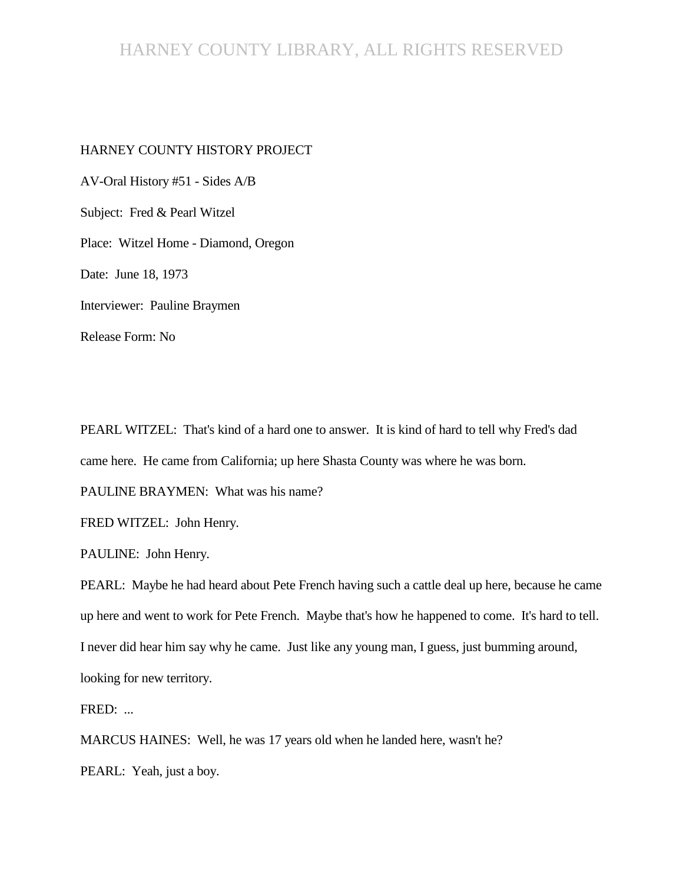## HARNEY COUNTY LIBRARY, ALL RIGHTS RESERVED

#### HARNEY COUNTY HISTORY PROJECT

AV-Oral History #51 - Sides A/B Subject: Fred & Pearl Witzel Place: Witzel Home - Diamond, Oregon Date: June 18, 1973 Interviewer: Pauline Braymen Release Form: No

PEARL WITZEL: That's kind of a hard one to answer. It is kind of hard to tell why Fred's dad came here. He came from California; up here Shasta County was where he was born.

PAULINE BRAYMEN: What was his name?

FRED WITZEL: John Henry.

PAULINE: John Henry.

PEARL: Maybe he had heard about Pete French having such a cattle deal up here, because he came up here and went to work for Pete French. Maybe that's how he happened to come. It's hard to tell. I never did hear him say why he came. Just like any young man, I guess, just bumming around, looking for new territory.

FRED: ...

MARCUS HAINES: Well, he was 17 years old when he landed here, wasn't he?

PEARL: Yeah, just a boy.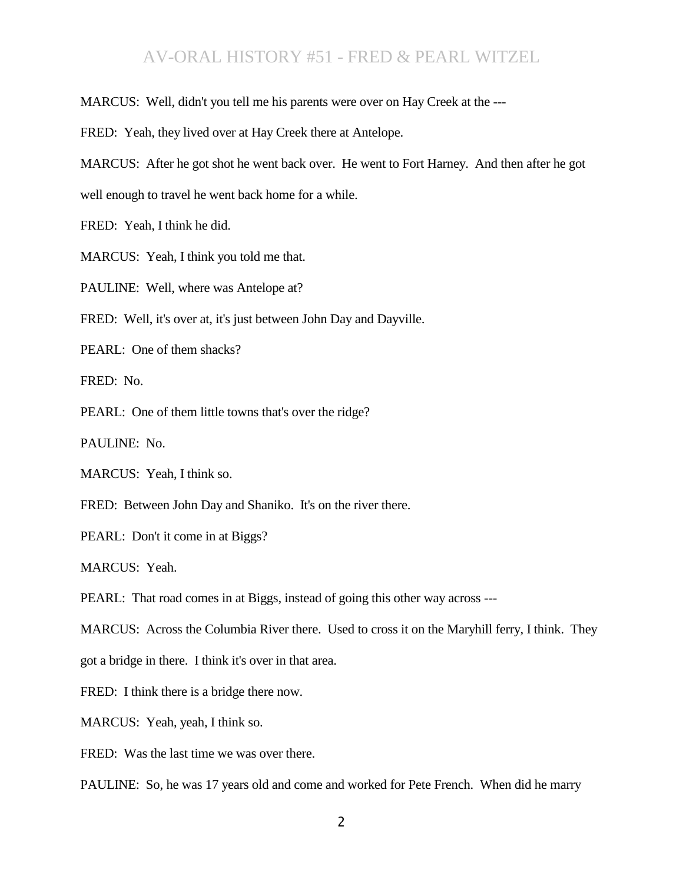MARCUS: Well, didn't you tell me his parents were over on Hay Creek at the ---

FRED: Yeah, they lived over at Hay Creek there at Antelope.

MARCUS: After he got shot he went back over. He went to Fort Harney. And then after he got well enough to travel he went back home for a while.

FRED: Yeah, I think he did.

MARCUS: Yeah, I think you told me that.

PAULINE: Well, where was Antelope at?

FRED: Well, it's over at, it's just between John Day and Dayville.

PEARL: One of them shacks?

FRED: No.

PEARL: One of them little towns that's over the ridge?

PAULINE: No.

MARCUS: Yeah, I think so.

FRED: Between John Day and Shaniko. It's on the river there.

PEARL: Don't it come in at Biggs?

MARCUS: Yeah.

PEARL: That road comes in at Biggs, instead of going this other way across ---

MARCUS: Across the Columbia River there. Used to cross it on the Maryhill ferry, I think. They

got a bridge in there. I think it's over in that area.

FRED: I think there is a bridge there now.

MARCUS: Yeah, yeah, I think so.

FRED: Was the last time we was over there.

PAULINE: So, he was 17 years old and come and worked for Pete French. When did he marry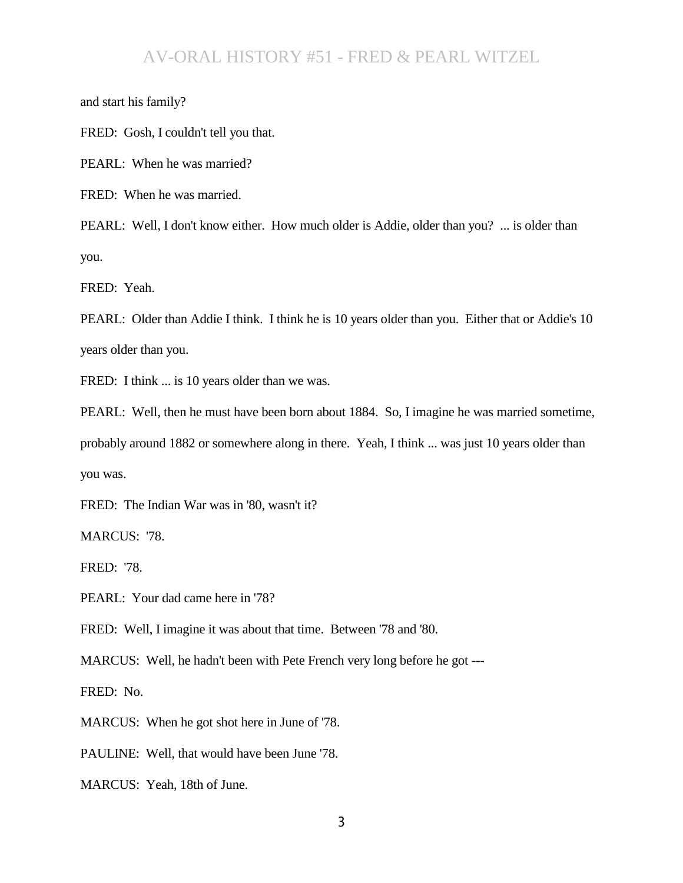and start his family?

FRED: Gosh, I couldn't tell you that.

PEARL: When he was married?

FRED: When he was married.

PEARL: Well, I don't know either. How much older is Addie, older than you? ... is older than you.

FRED: Yeah.

PEARL: Older than Addie I think. I think he is 10 years older than you. Either that or Addie's 10 years older than you.

FRED: I think ... is 10 years older than we was.

PEARL: Well, then he must have been born about 1884. So, I imagine he was married sometime, probably around 1882 or somewhere along in there. Yeah, I think ... was just 10 years older than you was.

FRED: The Indian War was in '80, wasn't it?

MARCUS: '78.

FRED: '78.

PEARL: Your dad came here in '78?

FRED: Well, I imagine it was about that time. Between '78 and '80.

MARCUS: Well, he hadn't been with Pete French very long before he got ---

FRED: No.

MARCUS: When he got shot here in June of '78.

PAULINE: Well, that would have been June '78.

MARCUS: Yeah, 18th of June.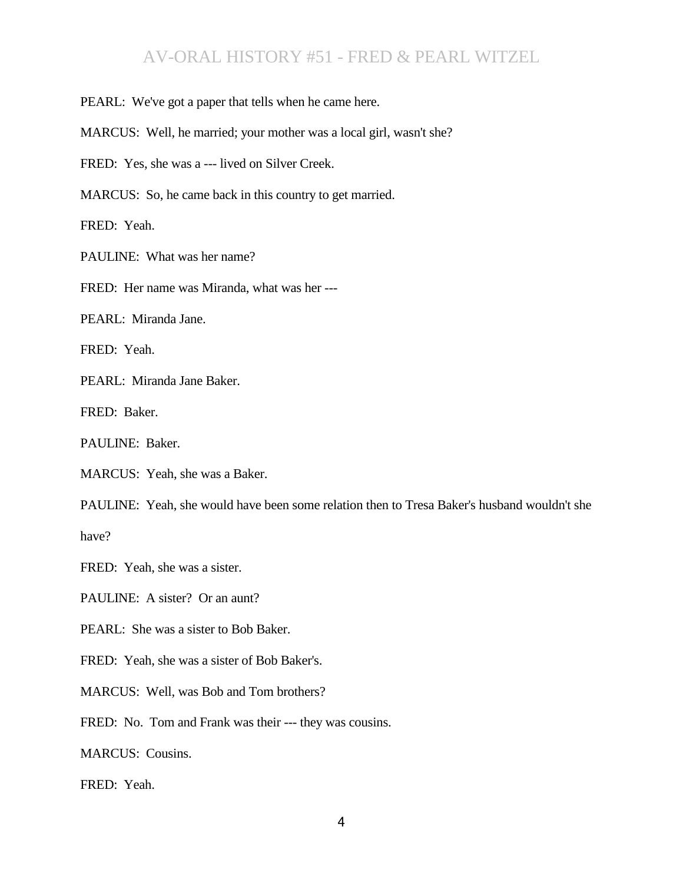PEARL: We've got a paper that tells when he came here.

MARCUS: Well, he married; your mother was a local girl, wasn't she?

FRED: Yes, she was a --- lived on Silver Creek.

MARCUS: So, he came back in this country to get married.

FRED: Yeah.

PAULINE: What was her name?

FRED: Her name was Miranda, what was her ---

PEARL: Miranda Jane.

FRED: Yeah.

PEARL: Miranda Jane Baker.

FRED: Baker.

PAULINE: Baker.

MARCUS: Yeah, she was a Baker.

PAULINE: Yeah, she would have been some relation then to Tresa Baker's husband wouldn't she

have?

FRED: Yeah, she was a sister.

PAULINE: A sister? Or an aunt?

PEARL: She was a sister to Bob Baker.

FRED: Yeah, she was a sister of Bob Baker's.

MARCUS: Well, was Bob and Tom brothers?

FRED: No. Tom and Frank was their --- they was cousins.

MARCUS: Cousins.

FRED: Yeah.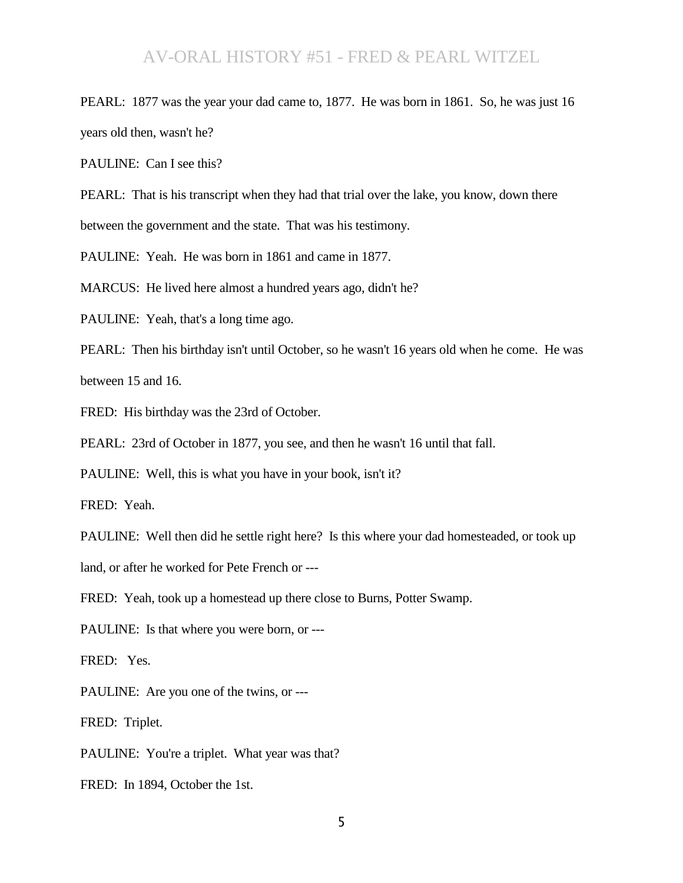PEARL: 1877 was the year your dad came to, 1877. He was born in 1861. So, he was just 16 years old then, wasn't he?

PAULINE: Can I see this?

PEARL: That is his transcript when they had that trial over the lake, you know, down there between the government and the state. That was his testimony.

PAULINE: Yeah. He was born in 1861 and came in 1877.

MARCUS: He lived here almost a hundred years ago, didn't he?

PAULINE: Yeah, that's a long time ago.

PEARL: Then his birthday isn't until October, so he wasn't 16 years old when he come. He was between 15 and 16.

FRED: His birthday was the 23rd of October.

PEARL: 23rd of October in 1877, you see, and then he wasn't 16 until that fall.

PAULINE: Well, this is what you have in your book, isn't it?

FRED: Yeah.

PAULINE: Well then did he settle right here? Is this where your dad homesteaded, or took up

land, or after he worked for Pete French or ---

FRED: Yeah, took up a homestead up there close to Burns, Potter Swamp.

PAULINE: Is that where you were born, or ---

FRED: Yes.

PAULINE: Are you one of the twins, or ---

FRED: Triplet.

PAULINE: You're a triplet. What year was that?

FRED: In 1894, October the 1st.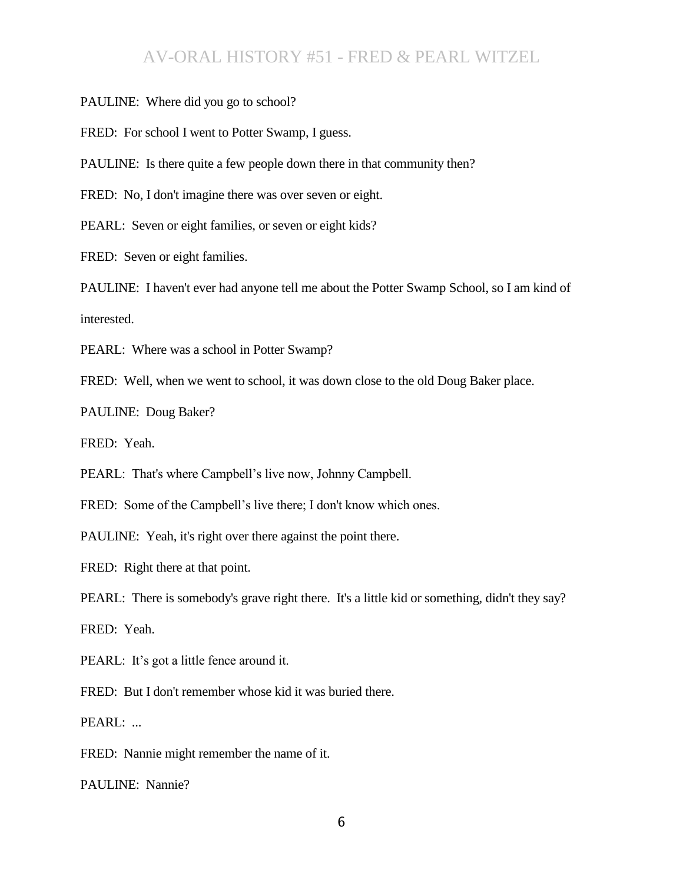PAULINE: Where did you go to school?

FRED: For school I went to Potter Swamp, I guess.

PAULINE: Is there quite a few people down there in that community then?

FRED: No, I don't imagine there was over seven or eight.

PEARL: Seven or eight families, or seven or eight kids?

FRED: Seven or eight families.

PAULINE: I haven't ever had anyone tell me about the Potter Swamp School, so I am kind of interested.

PEARL: Where was a school in Potter Swamp?

FRED: Well, when we went to school, it was down close to the old Doug Baker place.

PAULINE: Doug Baker?

FRED: Yeah.

PEARL: That's where Campbell's live now, Johnny Campbell.

FRED: Some of the Campbell's live there; I don't know which ones.

PAULINE: Yeah, it's right over there against the point there.

FRED: Right there at that point.

PEARL: There is somebody's grave right there. It's a little kid or something, didn't they say?

FRED: Yeah.

PEARL: It's got a little fence around it.

FRED: But I don't remember whose kid it was buried there.

PEARL: ...

FRED: Nannie might remember the name of it.

PAULINE: Nannie?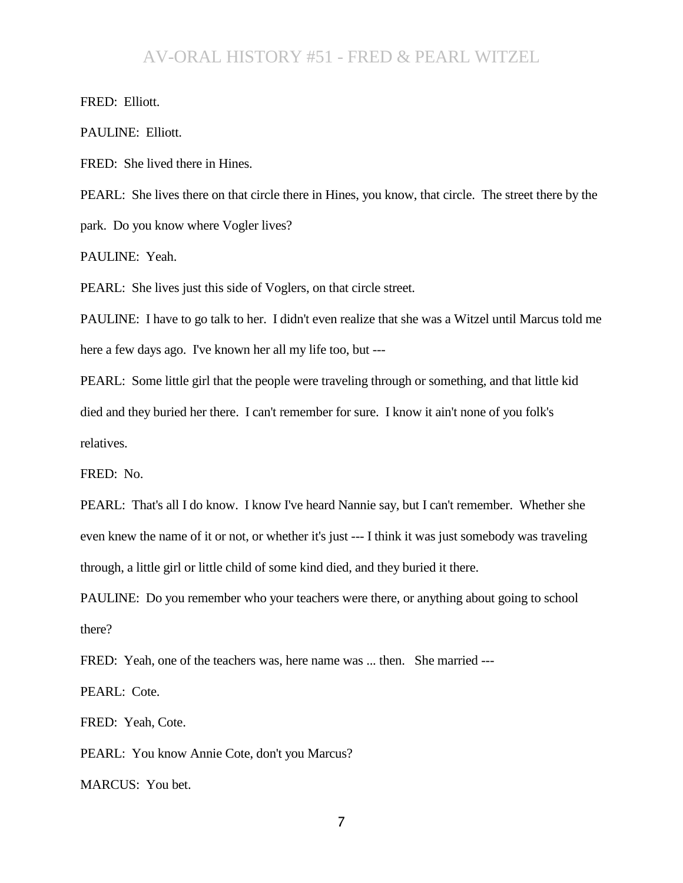FRED: Elliott.

PAULINE: Elliott.

FRED: She lived there in Hines.

PEARL: She lives there on that circle there in Hines, you know, that circle. The street there by the park. Do you know where Vogler lives?

PAULINE: Yeah.

PEARL: She lives just this side of Voglers, on that circle street.

PAULINE: I have to go talk to her. I didn't even realize that she was a Witzel until Marcus told me here a few days ago. I've known her all my life too, but ---

PEARL: Some little girl that the people were traveling through or something, and that little kid died and they buried her there. I can't remember for sure. I know it ain't none of you folk's relatives.

FRED: No.

PEARL: That's all I do know. I know I've heard Nannie say, but I can't remember. Whether she even knew the name of it or not, or whether it's just --- I think it was just somebody was traveling through, a little girl or little child of some kind died, and they buried it there.

PAULINE: Do you remember who your teachers were there, or anything about going to school there?

FRED: Yeah, one of the teachers was, here name was ... then. She married ---

PEARL: Cote.

FRED: Yeah, Cote.

PEARL: You know Annie Cote, don't you Marcus?

MARCUS: You bet.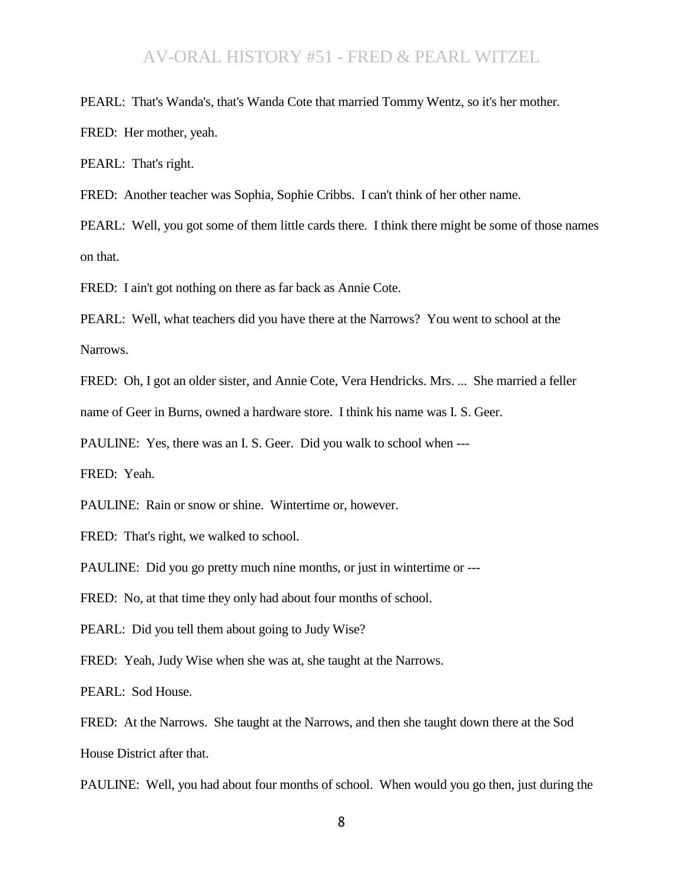PEARL: That's Wanda's, that's Wanda Cote that married Tommy Wentz, so it's her mother.

FRED: Her mother, yeah.

PEARL: That's right.

FRED: Another teacher was Sophia, Sophie Cribbs. I can't think of her other name.

PEARL: Well, you got some of them little cards there. I think there might be some of those names on that.

FRED: I ain't got nothing on there as far back as Annie Cote.

PEARL: Well, what teachers did you have there at the Narrows? You went to school at the Narrows.

FRED: Oh, I got an older sister, and Annie Cote, Vera Hendricks. Mrs. ... She married a feller

name of Geer in Burns, owned a hardware store. I think his name was I. S. Geer.

PAULINE: Yes, there was an I. S. Geer. Did you walk to school when ---

FRED: Yeah.

PAULINE: Rain or snow or shine. Wintertime or, however.

FRED: That's right, we walked to school.

PAULINE: Did you go pretty much nine months, or just in wintertime or ---

FRED: No, at that time they only had about four months of school.

PEARL: Did you tell them about going to Judy Wise?

FRED: Yeah, Judy Wise when she was at, she taught at the Narrows.

PEARL: Sod House.

FRED: At the Narrows. She taught at the Narrows, and then she taught down there at the Sod House District after that.

PAULINE: Well, you had about four months of school. When would you go then, just during the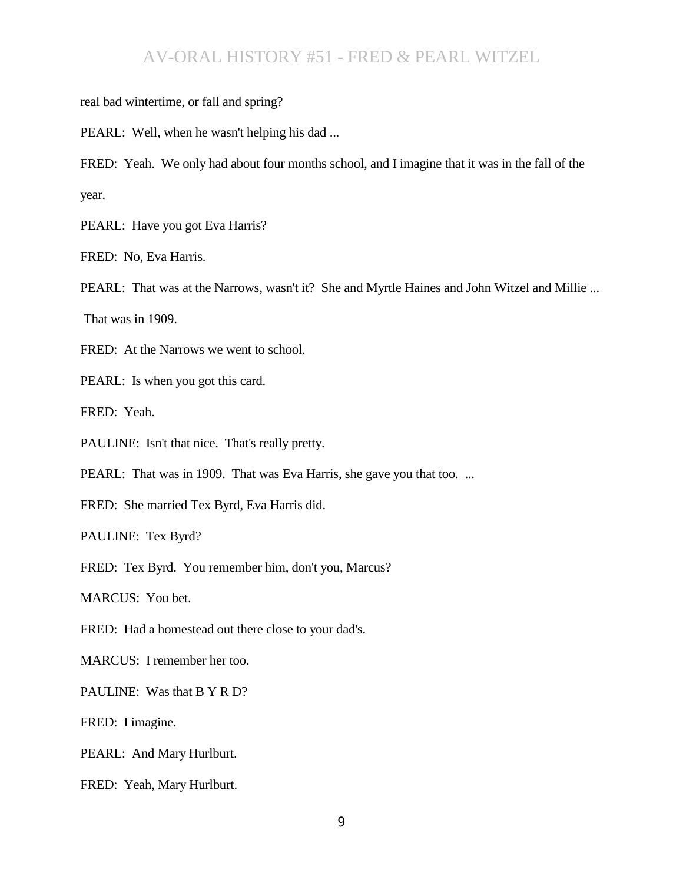real bad wintertime, or fall and spring?

PEARL: Well, when he wasn't helping his dad ...

FRED: Yeah. We only had about four months school, and I imagine that it was in the fall of the year.

PEARL: Have you got Eva Harris?

FRED: No, Eva Harris.

PEARL: That was at the Narrows, wasn't it? She and Myrtle Haines and John Witzel and Millie ...

That was in 1909.

FRED: At the Narrows we went to school.

PEARL: Is when you got this card.

FRED: Yeah.

PAULINE: Isn't that nice. That's really pretty.

PEARL: That was in 1909. That was Eva Harris, she gave you that too. ...

FRED: She married Tex Byrd, Eva Harris did.

PAULINE: Tex Byrd?

FRED: Tex Byrd. You remember him, don't you, Marcus?

MARCUS: You bet.

FRED: Had a homestead out there close to your dad's.

MARCUS: I remember her too.

PAULINE: Was that B Y R D?

FRED: I imagine.

PEARL: And Mary Hurlburt.

FRED: Yeah, Mary Hurlburt.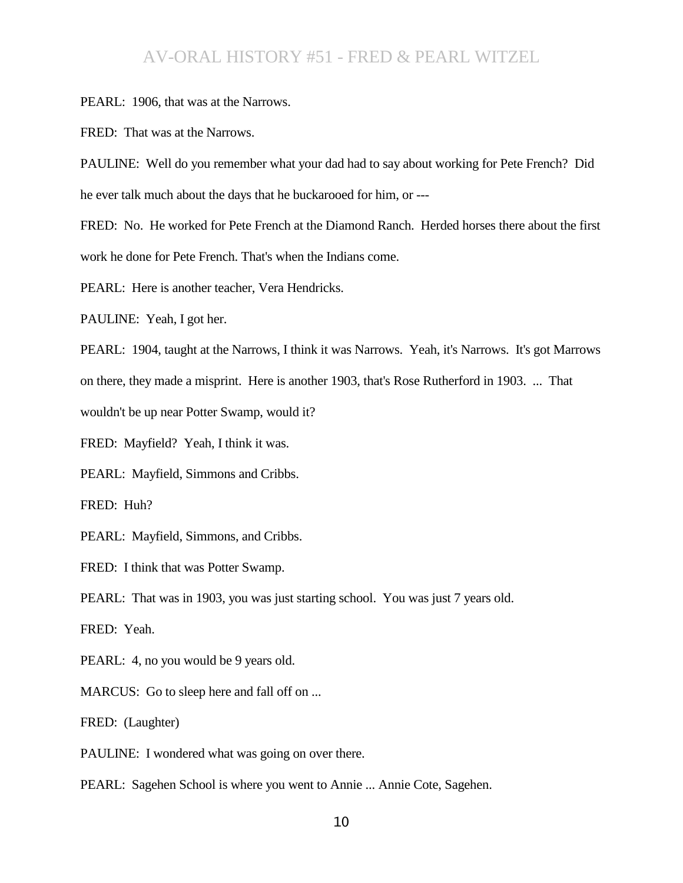PEARL: 1906, that was at the Narrows.

FRED: That was at the Narrows.

PAULINE: Well do you remember what your dad had to say about working for Pete French? Did he ever talk much about the days that he buckarooed for him, or ---

FRED: No. He worked for Pete French at the Diamond Ranch. Herded horses there about the first work he done for Pete French. That's when the Indians come.

PEARL: Here is another teacher, Vera Hendricks.

PAULINE: Yeah, I got her.

PEARL: 1904, taught at the Narrows, I think it was Narrows. Yeah, it's Narrows. It's got Marrows

on there, they made a misprint. Here is another 1903, that's Rose Rutherford in 1903. ... That

wouldn't be up near Potter Swamp, would it?

FRED: Mayfield? Yeah, I think it was.

PEARL: Mayfield, Simmons and Cribbs.

FRED: Huh?

PEARL: Mayfield, Simmons, and Cribbs.

FRED: I think that was Potter Swamp.

PEARL: That was in 1903, you was just starting school. You was just 7 years old.

FRED: Yeah.

PEARL: 4, no you would be 9 years old.

MARCUS: Go to sleep here and fall off on ...

FRED: (Laughter)

PAULINE: I wondered what was going on over there.

PEARL: Sagehen School is where you went to Annie ... Annie Cote, Sagehen.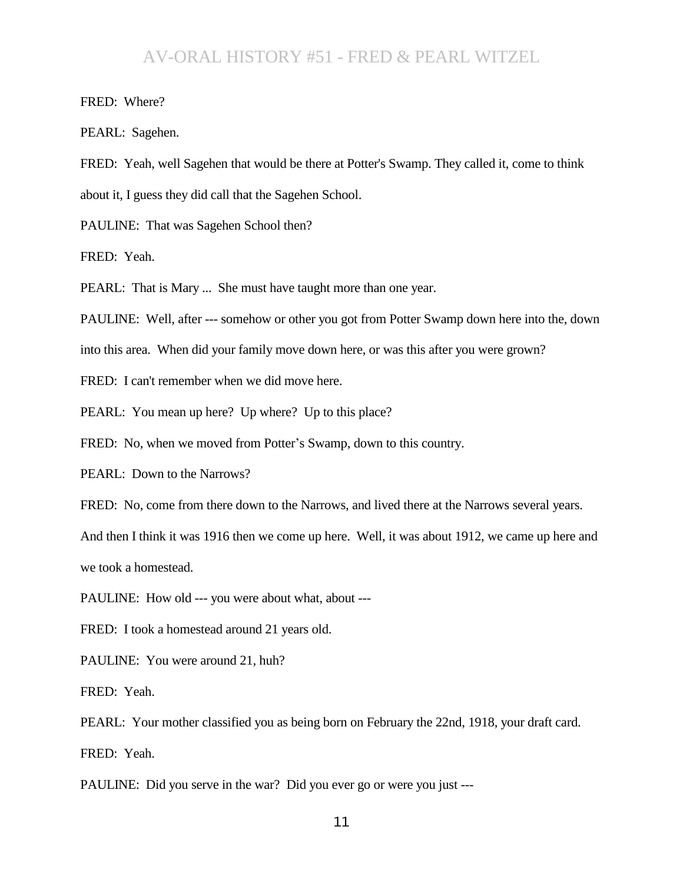FRED: Where?

PEARL: Sagehen.

FRED: Yeah, well Sagehen that would be there at Potter's Swamp. They called it, come to think

about it, I guess they did call that the Sagehen School.

PAULINE: That was Sagehen School then?

FRED: Yeah.

PEARL: That is Mary ... She must have taught more than one year.

PAULINE: Well, after --- somehow or other you got from Potter Swamp down here into the, down

into this area. When did your family move down here, or was this after you were grown?

FRED: I can't remember when we did move here.

PEARL: You mean up here? Up where? Up to this place?

FRED: No, when we moved from Potter's Swamp, down to this country.

PEARL: Down to the Narrows?

FRED: No, come from there down to the Narrows, and lived there at the Narrows several years.

And then I think it was 1916 then we come up here. Well, it was about 1912, we came up here and

we took a homestead.

PAULINE: How old --- you were about what, about ---

FRED: I took a homestead around 21 years old.

PAULINE: You were around 21, huh?

FRED: Yeah.

PEARL: Your mother classified you as being born on February the 22nd, 1918, your draft card.

FRED: Yeah.

PAULINE: Did you serve in the war? Did you ever go or were you just ---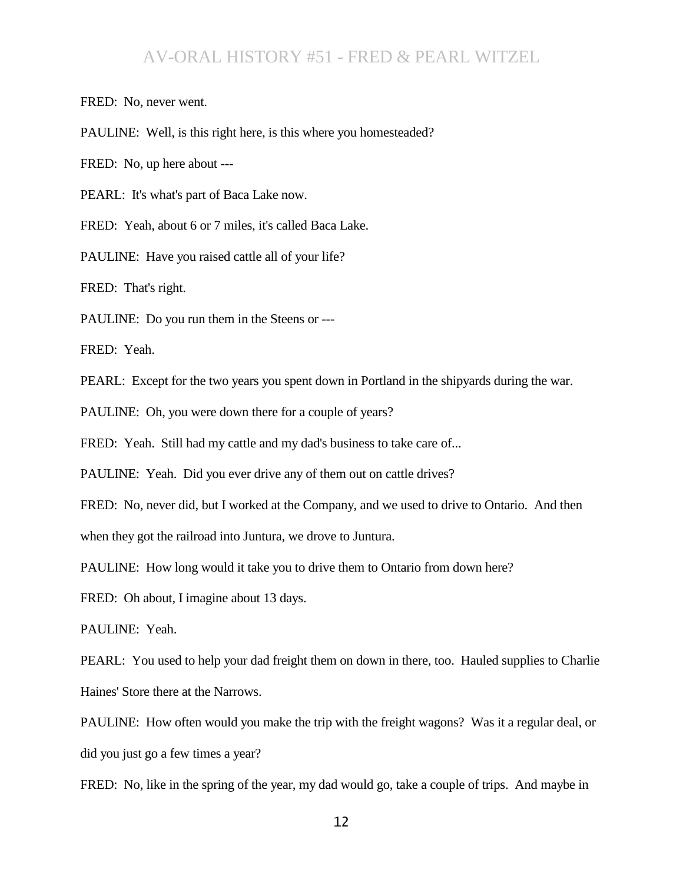FRED: No, never went.

PAULINE: Well, is this right here, is this where you homesteaded?

FRED: No, up here about ---

PEARL: It's what's part of Baca Lake now.

FRED: Yeah, about 6 or 7 miles, it's called Baca Lake.

PAULINE: Have you raised cattle all of your life?

FRED: That's right.

PAULINE: Do you run them in the Steens or ---

FRED: Yeah.

PEARL: Except for the two years you spent down in Portland in the shipyards during the war.

PAULINE: Oh, you were down there for a couple of years?

FRED: Yeah. Still had my cattle and my dad's business to take care of...

PAULINE: Yeah. Did you ever drive any of them out on cattle drives?

FRED: No, never did, but I worked at the Company, and we used to drive to Ontario. And then when they got the railroad into Juntura, we drove to Juntura.

PAULINE: How long would it take you to drive them to Ontario from down here?

FRED: Oh about, I imagine about 13 days.

PAULINE: Yeah.

PEARL: You used to help your dad freight them on down in there, too. Hauled supplies to Charlie Haines' Store there at the Narrows.

PAULINE: How often would you make the trip with the freight wagons? Was it a regular deal, or did you just go a few times a year?

FRED: No, like in the spring of the year, my dad would go, take a couple of trips. And maybe in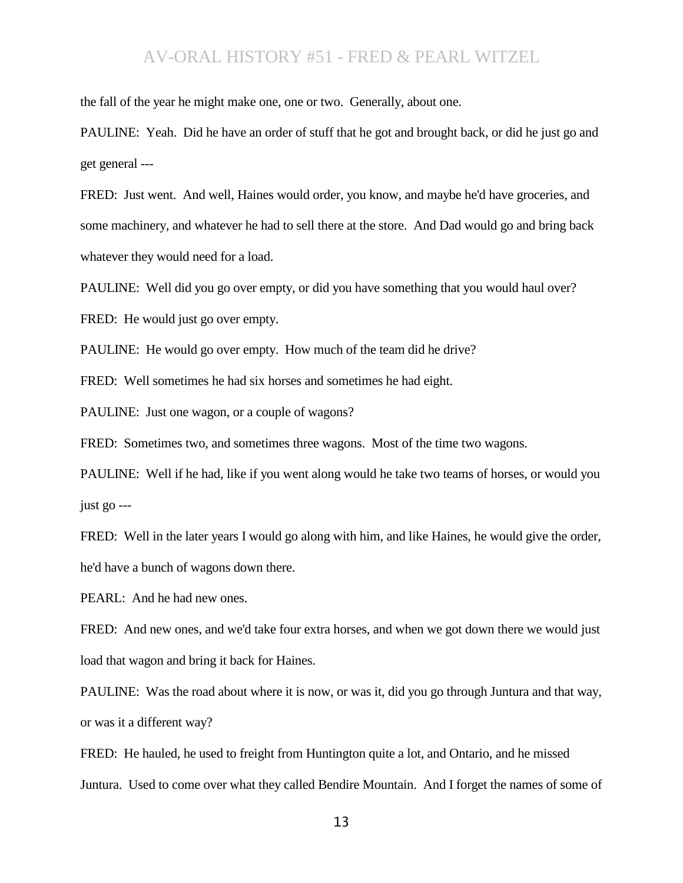the fall of the year he might make one, one or two. Generally, about one.

PAULINE: Yeah. Did he have an order of stuff that he got and brought back, or did he just go and get general ---

FRED: Just went. And well, Haines would order, you know, and maybe he'd have groceries, and some machinery, and whatever he had to sell there at the store. And Dad would go and bring back whatever they would need for a load.

PAULINE: Well did you go over empty, or did you have something that you would haul over?

FRED: He would just go over empty.

PAULINE: He would go over empty. How much of the team did he drive?

FRED: Well sometimes he had six horses and sometimes he had eight.

PAULINE: Just one wagon, or a couple of wagons?

FRED: Sometimes two, and sometimes three wagons. Most of the time two wagons.

PAULINE: Well if he had, like if you went along would he take two teams of horses, or would you just go ---

FRED: Well in the later years I would go along with him, and like Haines, he would give the order, he'd have a bunch of wagons down there.

PEARL: And he had new ones.

FRED: And new ones, and we'd take four extra horses, and when we got down there we would just load that wagon and bring it back for Haines.

PAULINE: Was the road about where it is now, or was it, did you go through Juntura and that way, or was it a different way?

FRED: He hauled, he used to freight from Huntington quite a lot, and Ontario, and he missed Juntura. Used to come over what they called Bendire Mountain. And I forget the names of some of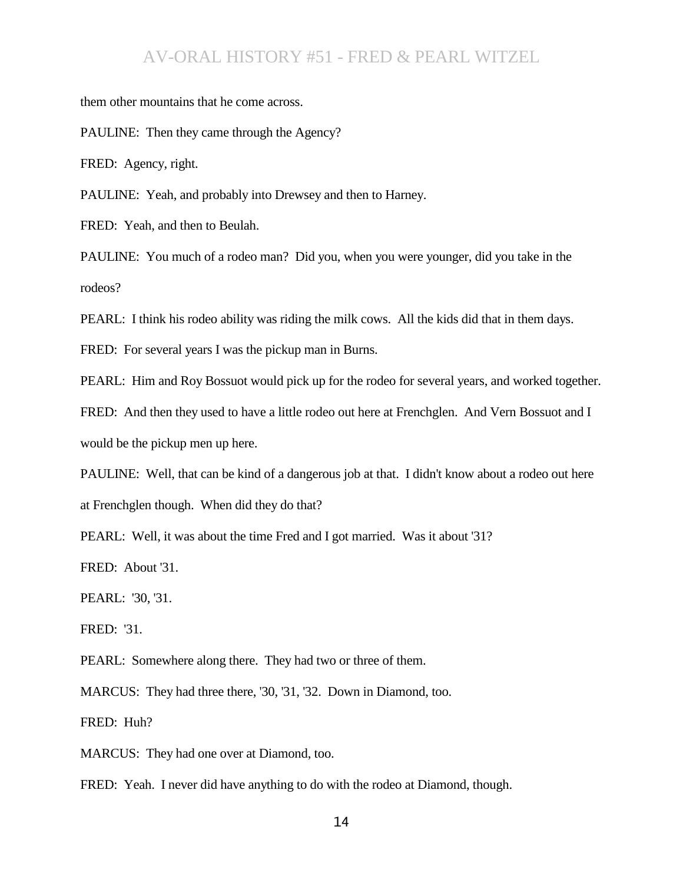them other mountains that he come across.

PAULINE: Then they came through the Agency?

FRED: Agency, right.

PAULINE: Yeah, and probably into Drewsey and then to Harney.

FRED: Yeah, and then to Beulah.

PAULINE: You much of a rodeo man? Did you, when you were younger, did you take in the rodeos?

PEARL: I think his rodeo ability was riding the milk cows. All the kids did that in them days.

FRED: For several years I was the pickup man in Burns.

PEARL: Him and Roy Bossuot would pick up for the rodeo for several years, and worked together.

FRED: And then they used to have a little rodeo out here at Frenchglen. And Vern Bossuot and I would be the pickup men up here.

PAULINE: Well, that can be kind of a dangerous job at that. I didn't know about a rodeo out here

at Frenchglen though. When did they do that?

PEARL: Well, it was about the time Fred and I got married. Was it about '31?

FRED: About '31.

PEARL: '30, '31.

FRED: '31.

PEARL: Somewhere along there. They had two or three of them.

MARCUS: They had three there, '30, '31, '32. Down in Diamond, too.

FRED: Huh?

MARCUS: They had one over at Diamond, too.

FRED: Yeah. I never did have anything to do with the rodeo at Diamond, though.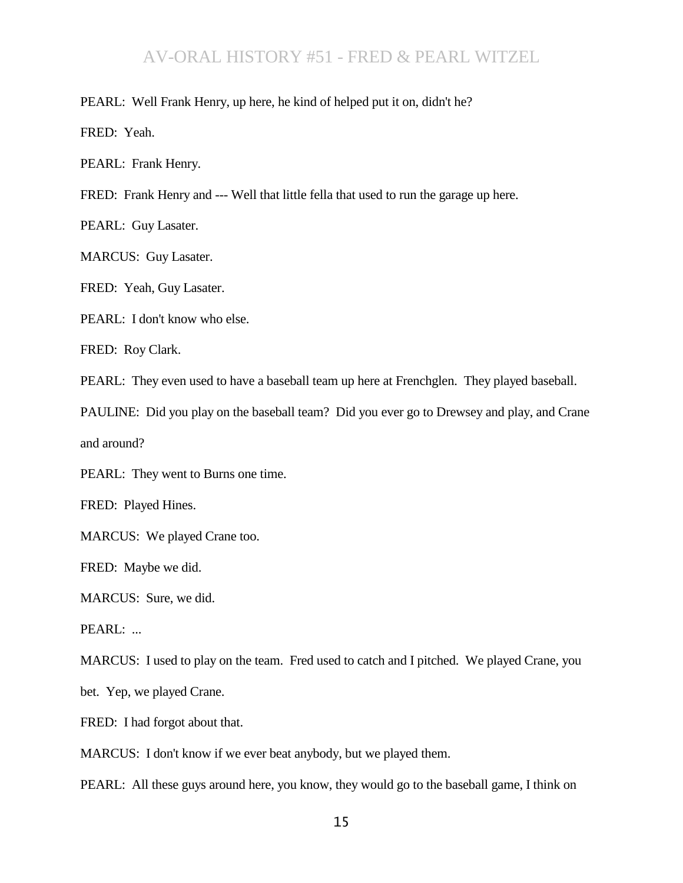#### PEARL: Well Frank Henry, up here, he kind of helped put it on, didn't he?

FRED: Yeah.

PEARL: Frank Henry.

FRED: Frank Henry and --- Well that little fella that used to run the garage up here.

PEARL: Guy Lasater.

MARCUS: Guy Lasater.

FRED: Yeah, Guy Lasater.

PEARL: I don't know who else.

FRED: Roy Clark.

PEARL: They even used to have a baseball team up here at Frenchglen. They played baseball.

PAULINE: Did you play on the baseball team? Did you ever go to Drewsey and play, and Crane and around?

PEARL: They went to Burns one time.

FRED: Played Hines.

MARCUS: We played Crane too.

FRED: Maybe we did.

MARCUS: Sure, we did.

PEARL: ...

MARCUS: I used to play on the team. Fred used to catch and I pitched. We played Crane, you

bet. Yep, we played Crane.

FRED: I had forgot about that.

MARCUS: I don't know if we ever beat anybody, but we played them.

PEARL: All these guys around here, you know, they would go to the baseball game, I think on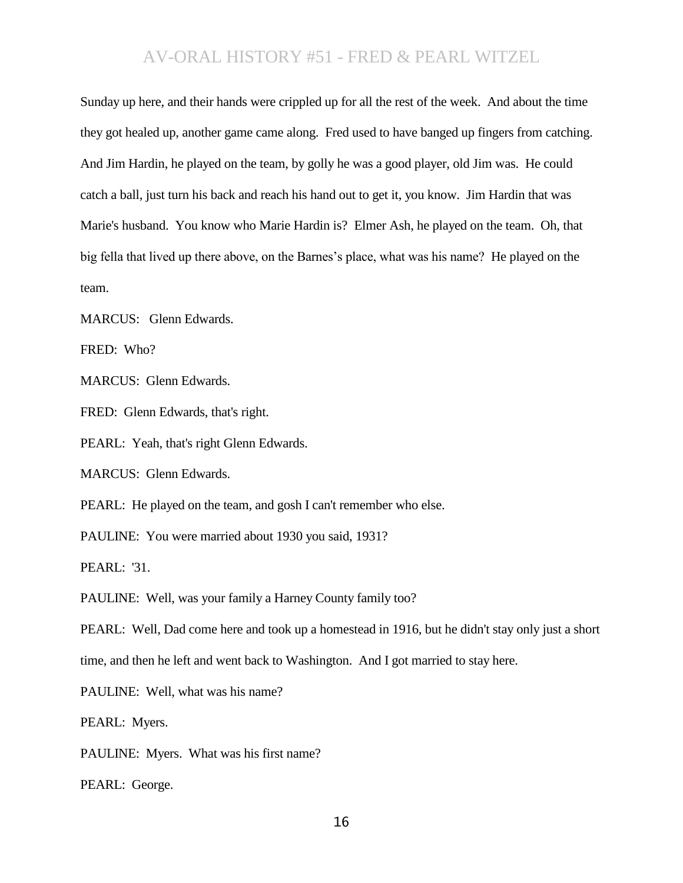Sunday up here, and their hands were crippled up for all the rest of the week. And about the time they got healed up, another game came along. Fred used to have banged up fingers from catching. And Jim Hardin, he played on the team, by golly he was a good player, old Jim was. He could catch a ball, just turn his back and reach his hand out to get it, you know. Jim Hardin that was Marie's husband. You know who Marie Hardin is? Elmer Ash, he played on the team. Oh, that big fella that lived up there above, on the Barnes's place, what was his name? He played on the team.

MARCUS: Glenn Edwards.

FRED: Who?

MARCUS: Glenn Edwards.

FRED: Glenn Edwards, that's right.

PEARL: Yeah, that's right Glenn Edwards.

MARCUS: Glenn Edwards.

PEARL: He played on the team, and gosh I can't remember who else.

PAULINE: You were married about 1930 you said, 1931?

PEARL: '31.

PAULINE: Well, was your family a Harney County family too?

PEARL: Well, Dad come here and took up a homestead in 1916, but he didn't stay only just a short time, and then he left and went back to Washington. And I got married to stay here.

PAULINE: Well, what was his name?

PEARL: Myers.

PAULINE: Myers. What was his first name?

PEARL: George.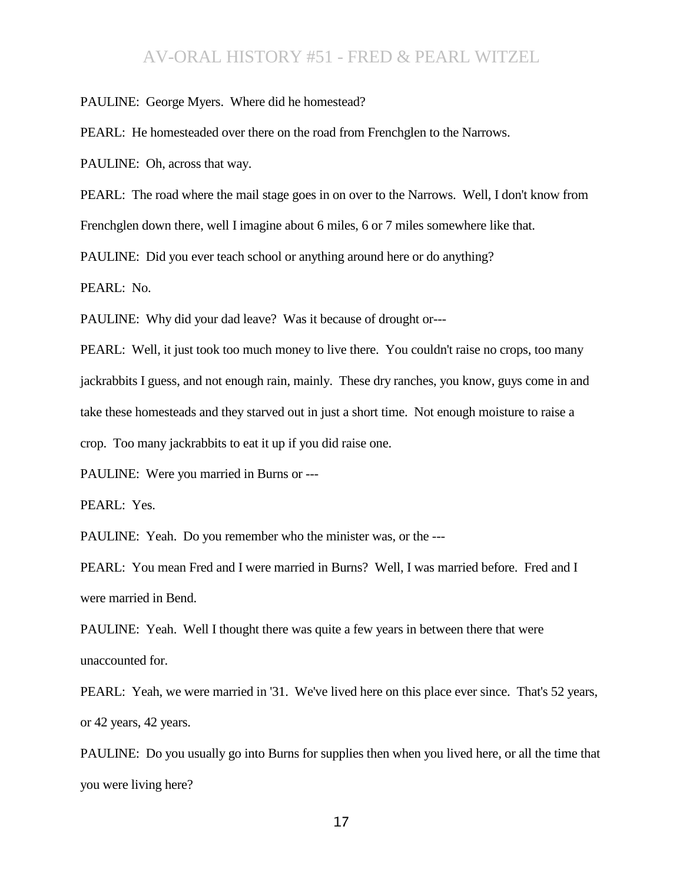PAULINE: George Myers. Where did he homestead?

PEARL: He homesteaded over there on the road from Frenchglen to the Narrows.

PAULINE: Oh, across that way.

PEARL: The road where the mail stage goes in on over to the Narrows. Well, I don't know from

Frenchglen down there, well I imagine about 6 miles, 6 or 7 miles somewhere like that.

PAULINE: Did you ever teach school or anything around here or do anything?

PEARL: No.

PAULINE: Why did your dad leave? Was it because of drought or---

PEARL: Well, it just took too much money to live there. You couldn't raise no crops, too many jackrabbits I guess, and not enough rain, mainly. These dry ranches, you know, guys come in and take these homesteads and they starved out in just a short time. Not enough moisture to raise a crop. Too many jackrabbits to eat it up if you did raise one.

PAULINE: Were you married in Burns or ---

PEARL: Yes.

PAULINE: Yeah. Do you remember who the minister was, or the ---

PEARL: You mean Fred and I were married in Burns? Well, I was married before. Fred and I were married in Bend.

PAULINE: Yeah. Well I thought there was quite a few years in between there that were unaccounted for.

PEARL: Yeah, we were married in '31. We've lived here on this place ever since. That's 52 years, or 42 years, 42 years.

PAULINE: Do you usually go into Burns for supplies then when you lived here, or all the time that you were living here?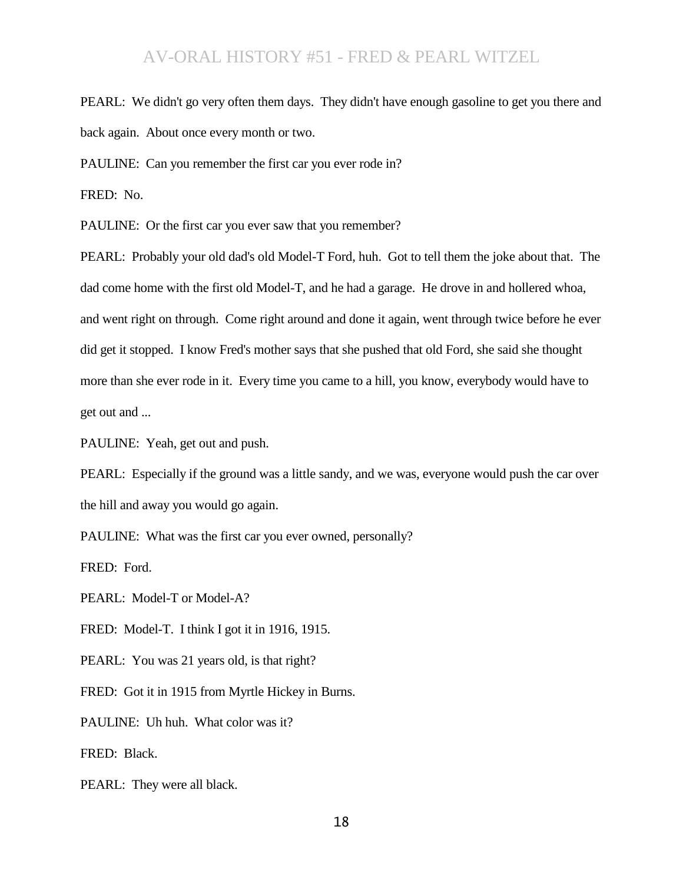PEARL: We didn't go very often them days. They didn't have enough gasoline to get you there and back again. About once every month or two.

PAULINE: Can you remember the first car you ever rode in?

FRED: No.

PAULINE: Or the first car you ever saw that you remember?

PEARL: Probably your old dad's old Model-T Ford, huh. Got to tell them the joke about that. The dad come home with the first old Model-T, and he had a garage. He drove in and hollered whoa, and went right on through. Come right around and done it again, went through twice before he ever did get it stopped. I know Fred's mother says that she pushed that old Ford, she said she thought more than she ever rode in it. Every time you came to a hill, you know, everybody would have to get out and ...

PAULINE: Yeah, get out and push.

PEARL: Especially if the ground was a little sandy, and we was, everyone would push the car over the hill and away you would go again.

PAULINE: What was the first car you ever owned, personally?

FRED: Ford.

PEARL: Model-T or Model-A?

FRED: Model-T. I think I got it in 1916, 1915.

PEARL: You was 21 years old, is that right?

FRED: Got it in 1915 from Myrtle Hickey in Burns.

PAULINE: Uh huh. What color was it?

FRED: Black.

PEARL: They were all black.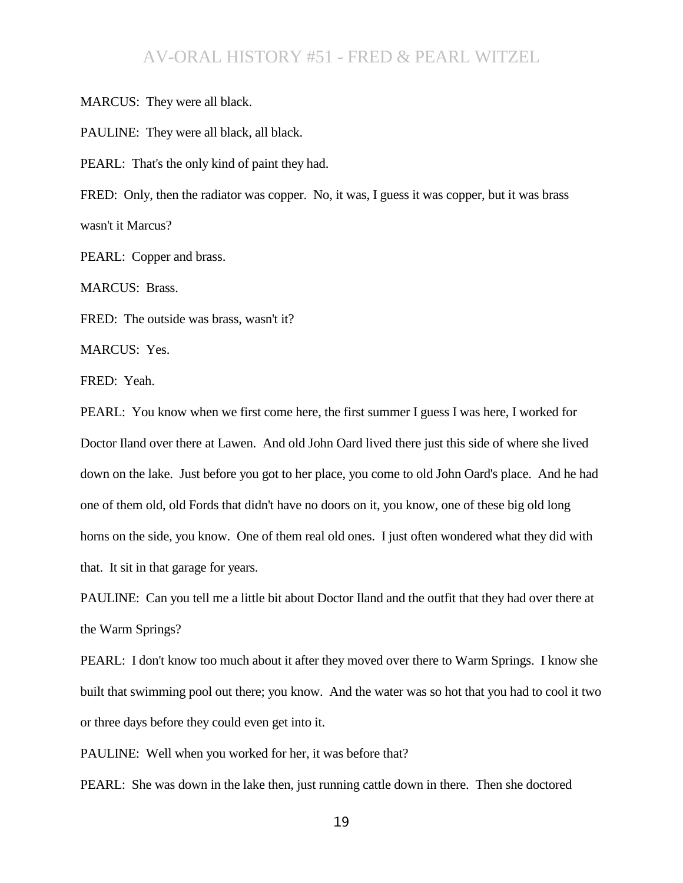MARCUS: They were all black.

PAULINE: They were all black, all black.

PEARL: That's the only kind of paint they had.

FRED: Only, then the radiator was copper. No, it was, I guess it was copper, but it was brass wasn't it Marcus?

PEARL: Copper and brass.

MARCUS: Brass.

FRED: The outside was brass, wasn't it?

MARCUS: Yes.

FRED: Yeah.

PEARL: You know when we first come here, the first summer I guess I was here, I worked for Doctor Iland over there at Lawen. And old John Oard lived there just this side of where she lived down on the lake. Just before you got to her place, you come to old John Oard's place. And he had one of them old, old Fords that didn't have no doors on it, you know, one of these big old long horns on the side, you know. One of them real old ones. I just often wondered what they did with that. It sit in that garage for years.

PAULINE: Can you tell me a little bit about Doctor Iland and the outfit that they had over there at the Warm Springs?

PEARL: I don't know too much about it after they moved over there to Warm Springs. I know she built that swimming pool out there; you know. And the water was so hot that you had to cool it two or three days before they could even get into it.

PAULINE: Well when you worked for her, it was before that?

PEARL: She was down in the lake then, just running cattle down in there. Then she doctored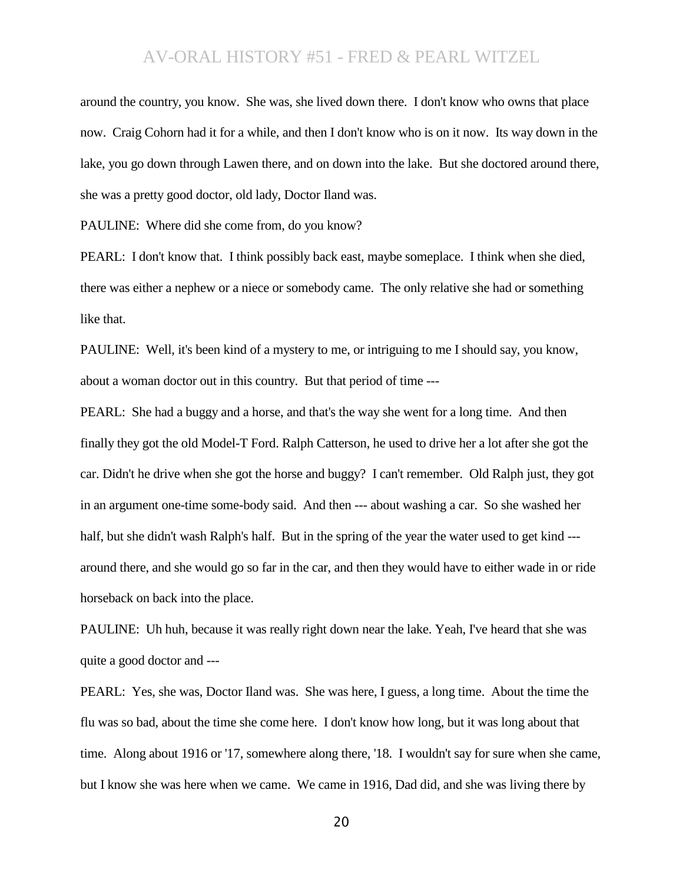around the country, you know. She was, she lived down there. I don't know who owns that place now. Craig Cohorn had it for a while, and then I don't know who is on it now. Its way down in the lake, you go down through Lawen there, and on down into the lake. But she doctored around there, she was a pretty good doctor, old lady, Doctor Iland was.

PAULINE: Where did she come from, do you know?

PEARL: I don't know that. I think possibly back east, maybe someplace. I think when she died, there was either a nephew or a niece or somebody came. The only relative she had or something like that.

PAULINE: Well, it's been kind of a mystery to me, or intriguing to me I should say, you know, about a woman doctor out in this country. But that period of time ---

PEARL: She had a buggy and a horse, and that's the way she went for a long time. And then finally they got the old Model-T Ford. Ralph Catterson, he used to drive her a lot after she got the car. Didn't he drive when she got the horse and buggy? I can't remember. Old Ralph just, they got in an argument one-time some-body said. And then --- about washing a car. So she washed her half, but she didn't wash Ralph's half. But in the spring of the year the water used to get kind --around there, and she would go so far in the car, and then they would have to either wade in or ride horseback on back into the place.

PAULINE: Uh huh, because it was really right down near the lake. Yeah, I've heard that she was quite a good doctor and ---

PEARL: Yes, she was, Doctor Iland was. She was here, I guess, a long time. About the time the flu was so bad, about the time she come here. I don't know how long, but it was long about that time. Along about 1916 or '17, somewhere along there, '18. I wouldn't say for sure when she came, but I know she was here when we came. We came in 1916, Dad did, and she was living there by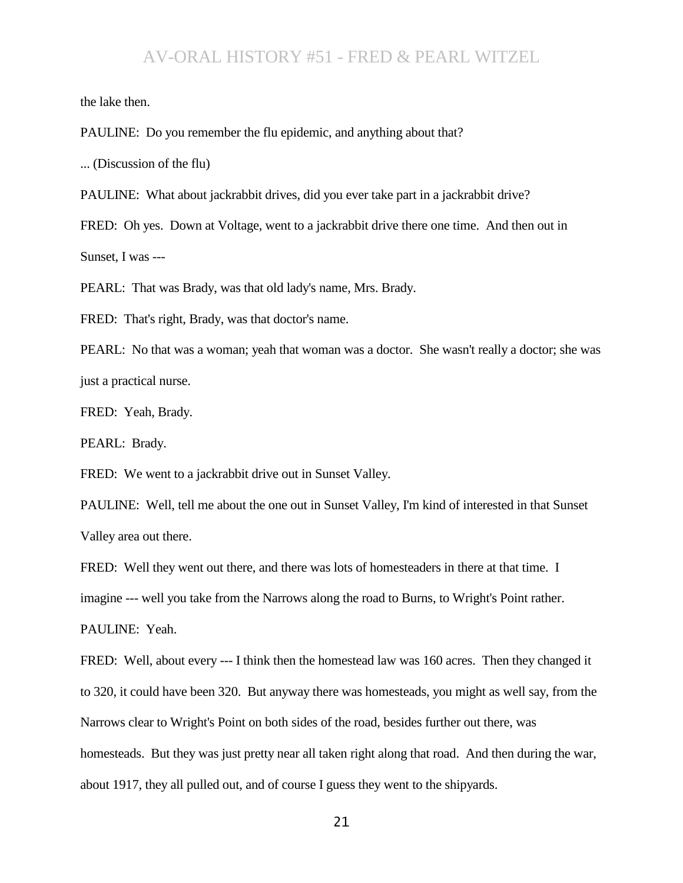the lake then.

PAULINE: Do you remember the flu epidemic, and anything about that?

... (Discussion of the flu)

PAULINE: What about jackrabbit drives, did you ever take part in a jackrabbit drive?

FRED: Oh yes. Down at Voltage, went to a jackrabbit drive there one time. And then out in Sunset, I was ---

PEARL: That was Brady, was that old lady's name, Mrs. Brady.

FRED: That's right, Brady, was that doctor's name.

PEARL: No that was a woman; yeah that woman was a doctor. She wasn't really a doctor; she was just a practical nurse.

FRED: Yeah, Brady.

PEARL: Brady.

FRED: We went to a jackrabbit drive out in Sunset Valley.

PAULINE: Well, tell me about the one out in Sunset Valley, I'm kind of interested in that Sunset Valley area out there.

FRED: Well they went out there, and there was lots of homesteaders in there at that time. I

imagine --- well you take from the Narrows along the road to Burns, to Wright's Point rather.

PAULINE: Yeah.

FRED: Well, about every --- I think then the homestead law was 160 acres. Then they changed it to 320, it could have been 320. But anyway there was homesteads, you might as well say, from the Narrows clear to Wright's Point on both sides of the road, besides further out there, was homesteads. But they was just pretty near all taken right along that road. And then during the war, about 1917, they all pulled out, and of course I guess they went to the shipyards.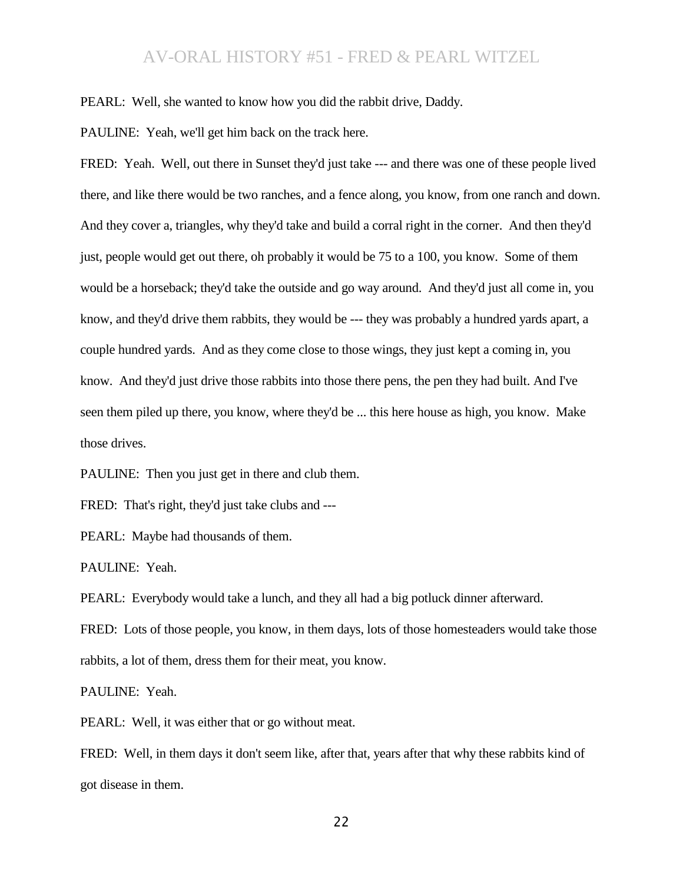PEARL: Well, she wanted to know how you did the rabbit drive, Daddy.

PAULINE: Yeah, we'll get him back on the track here.

FRED: Yeah. Well, out there in Sunset they'd just take --- and there was one of these people lived there, and like there would be two ranches, and a fence along, you know, from one ranch and down. And they cover a, triangles, why they'd take and build a corral right in the corner. And then they'd just, people would get out there, oh probably it would be 75 to a 100, you know. Some of them would be a horseback; they'd take the outside and go way around. And they'd just all come in, you know, and they'd drive them rabbits, they would be --- they was probably a hundred yards apart, a couple hundred yards. And as they come close to those wings, they just kept a coming in, you know. And they'd just drive those rabbits into those there pens, the pen they had built. And I've seen them piled up there, you know, where they'd be ... this here house as high, you know. Make those drives.

PAULINE: Then you just get in there and club them.

FRED: That's right, they'd just take clubs and ---

PEARL: Maybe had thousands of them.

PAULINE: Yeah.

PEARL: Everybody would take a lunch, and they all had a big potluck dinner afterward.

FRED: Lots of those people, you know, in them days, lots of those homesteaders would take those rabbits, a lot of them, dress them for their meat, you know.

PAULINE: Yeah.

PEARL: Well, it was either that or go without meat.

FRED: Well, in them days it don't seem like, after that, years after that why these rabbits kind of got disease in them.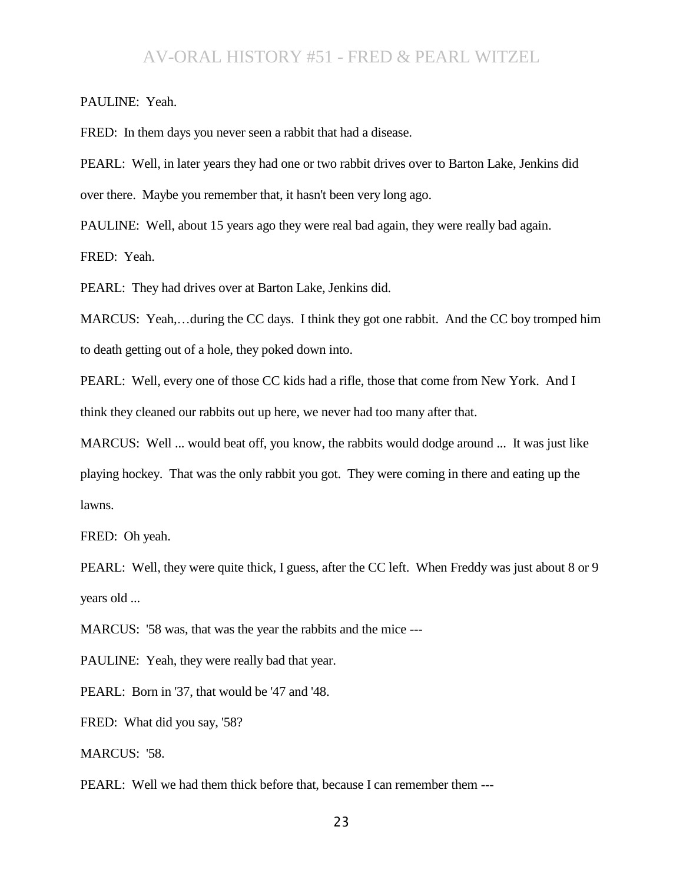PAULINE: Yeah.

FRED: In them days you never seen a rabbit that had a disease.

PEARL: Well, in later years they had one or two rabbit drives over to Barton Lake, Jenkins did over there. Maybe you remember that, it hasn't been very long ago.

PAULINE: Well, about 15 years ago they were real bad again, they were really bad again.

FRED: Yeah.

PEARL: They had drives over at Barton Lake, Jenkins did.

MARCUS: Yeah,…during the CC days. I think they got one rabbit. And the CC boy tromped him to death getting out of a hole, they poked down into.

PEARL: Well, every one of those CC kids had a rifle, those that come from New York. And I think they cleaned our rabbits out up here, we never had too many after that.

MARCUS: Well ... would beat off, you know, the rabbits would dodge around ... It was just like playing hockey. That was the only rabbit you got. They were coming in there and eating up the lawns.

FRED: Oh yeah.

PEARL: Well, they were quite thick, I guess, after the CC left. When Freddy was just about 8 or 9 years old ...

MARCUS: '58 was, that was the year the rabbits and the mice ---

PAULINE: Yeah, they were really bad that year.

PEARL: Born in '37, that would be '47 and '48.

FRED: What did you say, '58?

MARCUS: '58.

PEARL: Well we had them thick before that, because I can remember them ---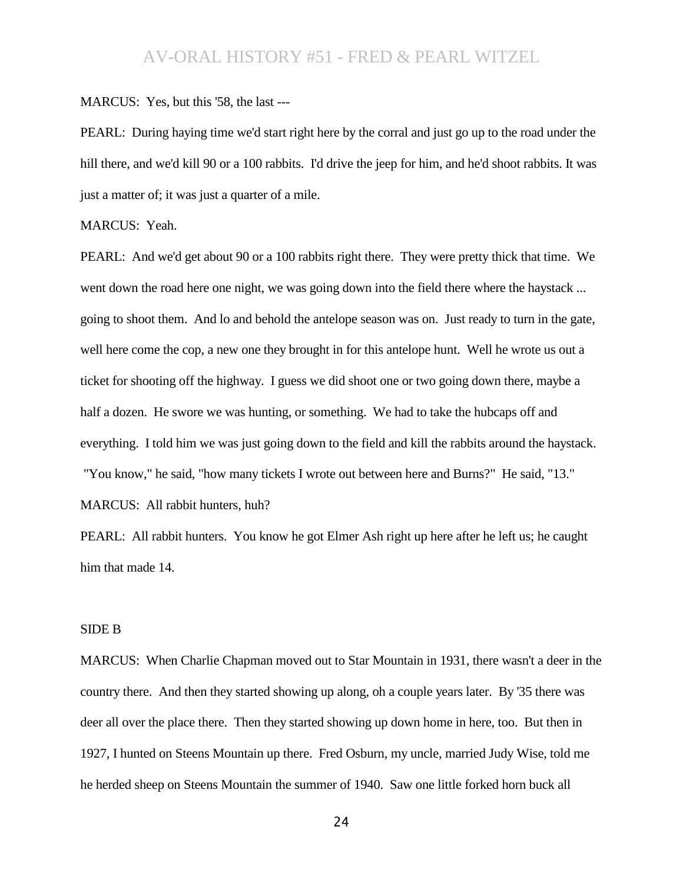MARCUS: Yes, but this '58, the last ---

PEARL: During haying time we'd start right here by the corral and just go up to the road under the hill there, and we'd kill 90 or a 100 rabbits. I'd drive the jeep for him, and he'd shoot rabbits. It was just a matter of; it was just a quarter of a mile.

#### MARCUS: Yeah.

PEARL: And we'd get about 90 or a 100 rabbits right there. They were pretty thick that time. We went down the road here one night, we was going down into the field there where the haystack ... going to shoot them. And lo and behold the antelope season was on. Just ready to turn in the gate, well here come the cop, a new one they brought in for this antelope hunt. Well he wrote us out a ticket for shooting off the highway. I guess we did shoot one or two going down there, maybe a half a dozen. He swore we was hunting, or something. We had to take the hubcaps off and everything. I told him we was just going down to the field and kill the rabbits around the haystack. "You know," he said, "how many tickets I wrote out between here and Burns?" He said, "13." MARCUS: All rabbit hunters, huh?

PEARL: All rabbit hunters. You know he got Elmer Ash right up here after he left us; he caught him that made 14.

#### SIDE B

MARCUS: When Charlie Chapman moved out to Star Mountain in 1931, there wasn't a deer in the country there. And then they started showing up along, oh a couple years later. By '35 there was deer all over the place there. Then they started showing up down home in here, too. But then in 1927, I hunted on Steens Mountain up there. Fred Osburn, my uncle, married Judy Wise, told me he herded sheep on Steens Mountain the summer of 1940. Saw one little forked horn buck all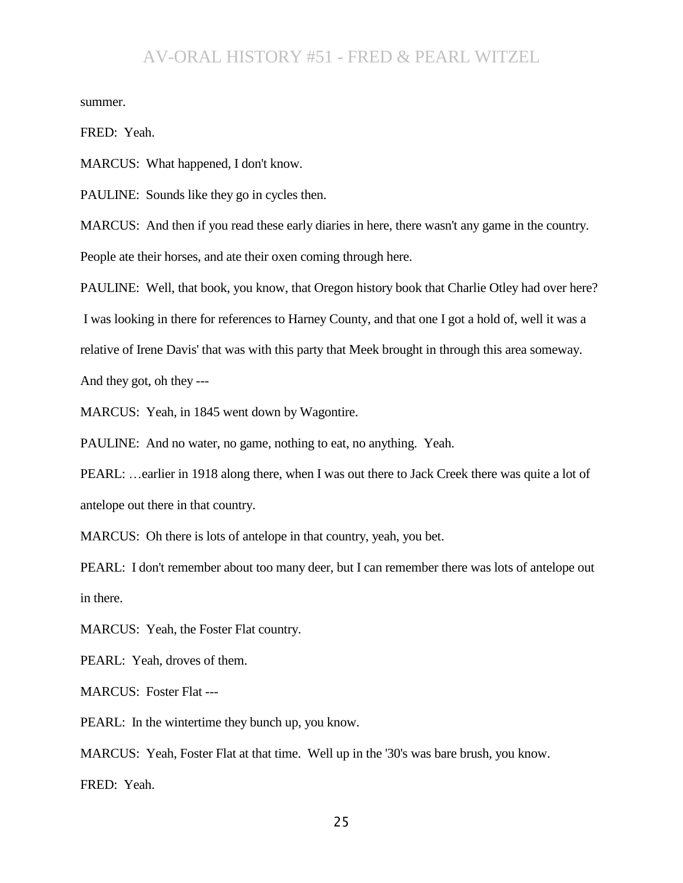summer.

FRED: Yeah.

MARCUS: What happened, I don't know.

PAULINE: Sounds like they go in cycles then.

MARCUS: And then if you read these early diaries in here, there wasn't any game in the country. People ate their horses, and ate their oxen coming through here.

PAULINE: Well, that book, you know, that Oregon history book that Charlie Otley had over here?

I was looking in there for references to Harney County, and that one I got a hold of, well it was a

relative of Irene Davis' that was with this party that Meek brought in through this area someway.

And they got, oh they ---

MARCUS: Yeah, in 1845 went down by Wagontire.

PAULINE: And no water, no game, nothing to eat, no anything. Yeah.

PEARL: ...earlier in 1918 along there, when I was out there to Jack Creek there was quite a lot of antelope out there in that country.

MARCUS: Oh there is lots of antelope in that country, yeah, you bet.

PEARL: I don't remember about too many deer, but I can remember there was lots of antelope out in there.

MARCUS: Yeah, the Foster Flat country.

PEARL: Yeah, droves of them.

MARCUS: Foster Flat ---

PEARL: In the wintertime they bunch up, you know.

MARCUS: Yeah, Foster Flat at that time. Well up in the '30's was bare brush, you know.

FRED: Yeah.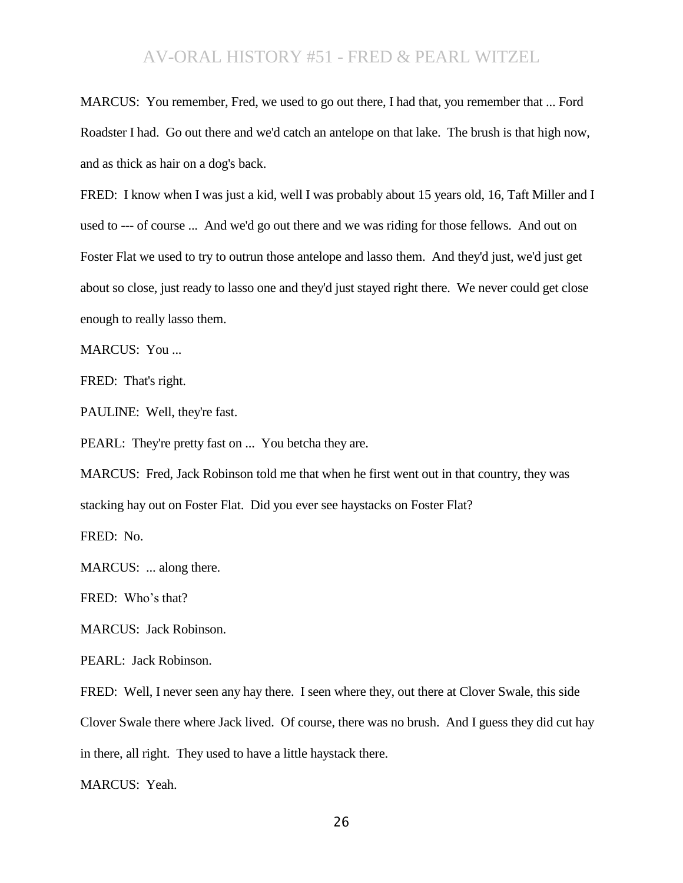MARCUS: You remember, Fred, we used to go out there, I had that, you remember that ... Ford Roadster I had. Go out there and we'd catch an antelope on that lake. The brush is that high now, and as thick as hair on a dog's back.

FRED: I know when I was just a kid, well I was probably about 15 years old, 16, Taft Miller and I used to --- of course ... And we'd go out there and we was riding for those fellows. And out on Foster Flat we used to try to outrun those antelope and lasso them. And they'd just, we'd just get about so close, just ready to lasso one and they'd just stayed right there. We never could get close enough to really lasso them.

MARCUS: You ...

FRED: That's right.

PAULINE: Well, they're fast.

PEARL: They're pretty fast on ... You betcha they are.

MARCUS: Fred, Jack Robinson told me that when he first went out in that country, they was stacking hay out on Foster Flat. Did you ever see haystacks on Foster Flat?

FRED: No.

MARCUS: ... along there.

FRED: Who's that?

MARCUS: Jack Robinson.

PEARL: Jack Robinson.

FRED: Well, I never seen any hay there. I seen where they, out there at Clover Swale, this side Clover Swale there where Jack lived. Of course, there was no brush. And I guess they did cut hay in there, all right. They used to have a little haystack there.

MARCUS: Yeah.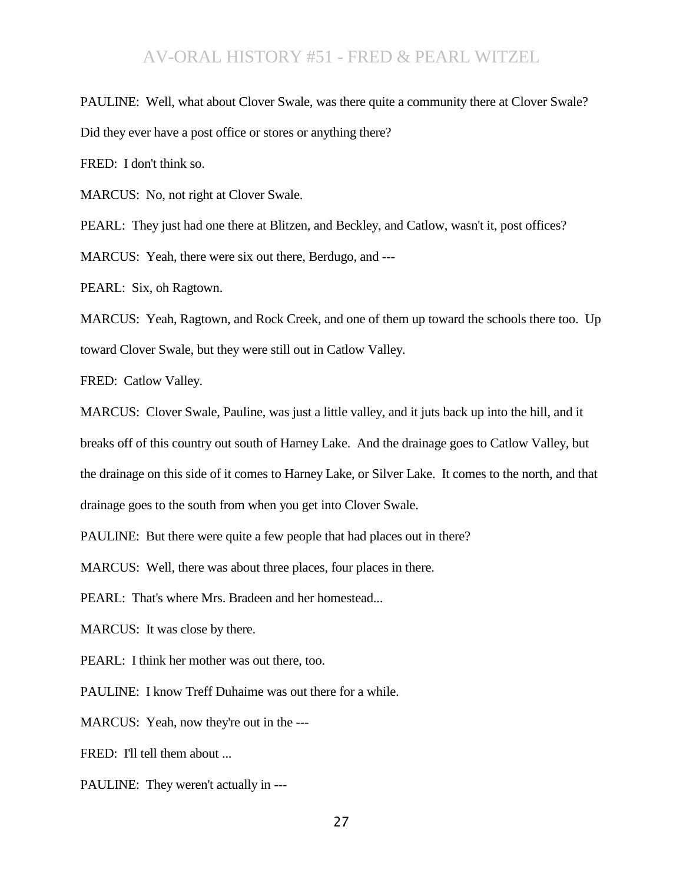PAULINE: Well, what about Clover Swale, was there quite a community there at Clover Swale? Did they ever have a post office or stores or anything there?

FRED: I don't think so.

MARCUS: No, not right at Clover Swale.

PEARL: They just had one there at Blitzen, and Beckley, and Catlow, wasn't it, post offices?

MARCUS: Yeah, there were six out there, Berdugo, and ---

PEARL: Six, oh Ragtown.

MARCUS: Yeah, Ragtown, and Rock Creek, and one of them up toward the schools there too. Up toward Clover Swale, but they were still out in Catlow Valley.

FRED: Catlow Valley.

MARCUS: Clover Swale, Pauline, was just a little valley, and it juts back up into the hill, and it breaks off of this country out south of Harney Lake. And the drainage goes to Catlow Valley, but the drainage on this side of it comes to Harney Lake, or Silver Lake. It comes to the north, and that drainage goes to the south from when you get into Clover Swale.

PAULINE: But there were quite a few people that had places out in there?

MARCUS: Well, there was about three places, four places in there.

PEARL: That's where Mrs. Bradeen and her homestead...

MARCUS: It was close by there.

PEARL: I think her mother was out there, too.

PAULINE: I know Treff Duhaime was out there for a while.

MARCUS: Yeah, now they're out in the ---

FRED: I'll tell them about ...

PAULINE: They weren't actually in ---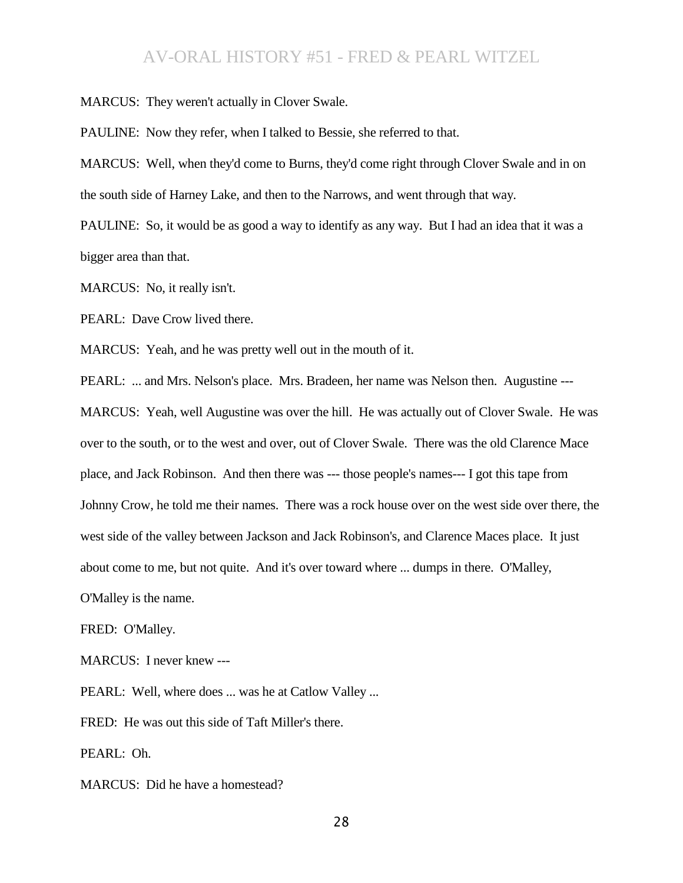MARCUS: They weren't actually in Clover Swale.

PAULINE: Now they refer, when I talked to Bessie, she referred to that.

MARCUS: Well, when they'd come to Burns, they'd come right through Clover Swale and in on the south side of Harney Lake, and then to the Narrows, and went through that way.

PAULINE: So, it would be as good a way to identify as any way. But I had an idea that it was a bigger area than that.

MARCUS: No, it really isn't.

PEARL: Dave Crow lived there.

MARCUS: Yeah, and he was pretty well out in the mouth of it.

PEARL: ... and Mrs. Nelson's place. Mrs. Bradeen, her name was Nelson then. Augustine --- MARCUS: Yeah, well Augustine was over the hill. He was actually out of Clover Swale. He was over to the south, or to the west and over, out of Clover Swale. There was the old Clarence Mace place, and Jack Robinson. And then there was --- those people's names--- I got this tape from Johnny Crow, he told me their names. There was a rock house over on the west side over there, the west side of the valley between Jackson and Jack Robinson's, and Clarence Maces place. It just about come to me, but not quite. And it's over toward where ... dumps in there. O'Malley, O'Malley is the name.

FRED: O'Malley.

MARCUS: I never knew ---

PEARL: Well, where does ... was he at Catlow Valley ...

FRED: He was out this side of Taft Miller's there.

PEARL: Oh.

MARCUS: Did he have a homestead?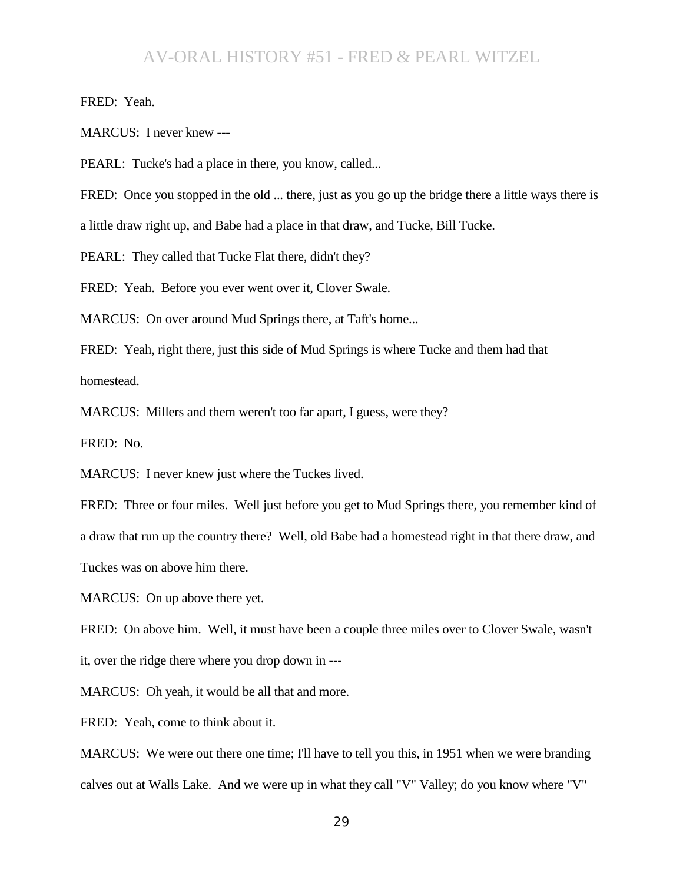FRED: Yeah.

MARCUS: I never knew ---

PEARL: Tucke's had a place in there, you know, called...

FRED: Once you stopped in the old ... there, just as you go up the bridge there a little ways there is

a little draw right up, and Babe had a place in that draw, and Tucke, Bill Tucke.

PEARL: They called that Tucke Flat there, didn't they?

FRED: Yeah. Before you ever went over it, Clover Swale.

MARCUS: On over around Mud Springs there, at Taft's home...

FRED: Yeah, right there, just this side of Mud Springs is where Tucke and them had that homestead.

MARCUS: Millers and them weren't too far apart, I guess, were they?

FRED: No.

MARCUS: I never knew just where the Tuckes lived.

FRED: Three or four miles. Well just before you get to Mud Springs there, you remember kind of a draw that run up the country there? Well, old Babe had a homestead right in that there draw, and Tuckes was on above him there.

MARCUS: On up above there yet.

FRED: On above him. Well, it must have been a couple three miles over to Clover Swale, wasn't it, over the ridge there where you drop down in ---

MARCUS: Oh yeah, it would be all that and more.

FRED: Yeah, come to think about it.

MARCUS: We were out there one time; I'll have to tell you this, in 1951 when we were branding calves out at Walls Lake. And we were up in what they call "V" Valley; do you know where "V"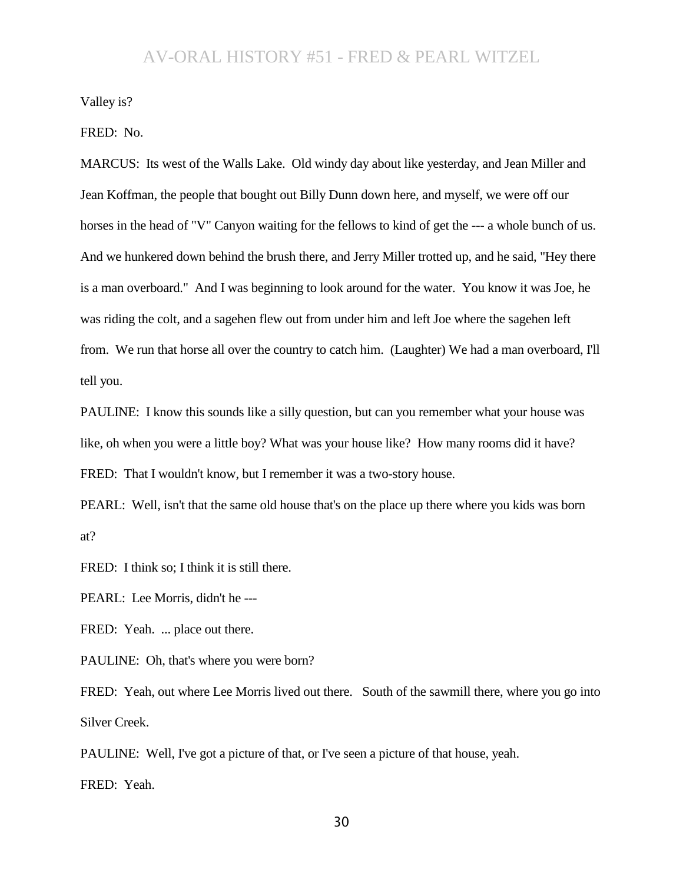Valley is?

FRED: No.

MARCUS: Its west of the Walls Lake. Old windy day about like yesterday, and Jean Miller and Jean Koffman, the people that bought out Billy Dunn down here, and myself, we were off our horses in the head of "V" Canyon waiting for the fellows to kind of get the --- a whole bunch of us. And we hunkered down behind the brush there, and Jerry Miller trotted up, and he said, "Hey there is a man overboard." And I was beginning to look around for the water. You know it was Joe, he was riding the colt, and a sagehen flew out from under him and left Joe where the sagehen left from. We run that horse all over the country to catch him. (Laughter) We had a man overboard, I'll tell you.

PAULINE: I know this sounds like a silly question, but can you remember what your house was like, oh when you were a little boy? What was your house like? How many rooms did it have? FRED: That I wouldn't know, but I remember it was a two-story house.

PEARL: Well, isn't that the same old house that's on the place up there where you kids was born at?

FRED: I think so; I think it is still there.

PEARL: Lee Morris, didn't he ---

FRED: Yeah. ... place out there.

PAULINE: Oh, that's where you were born?

FRED: Yeah, out where Lee Morris lived out there. South of the sawmill there, where you go into Silver Creek.

PAULINE: Well, I've got a picture of that, or I've seen a picture of that house, yeah.

FRED: Yeah.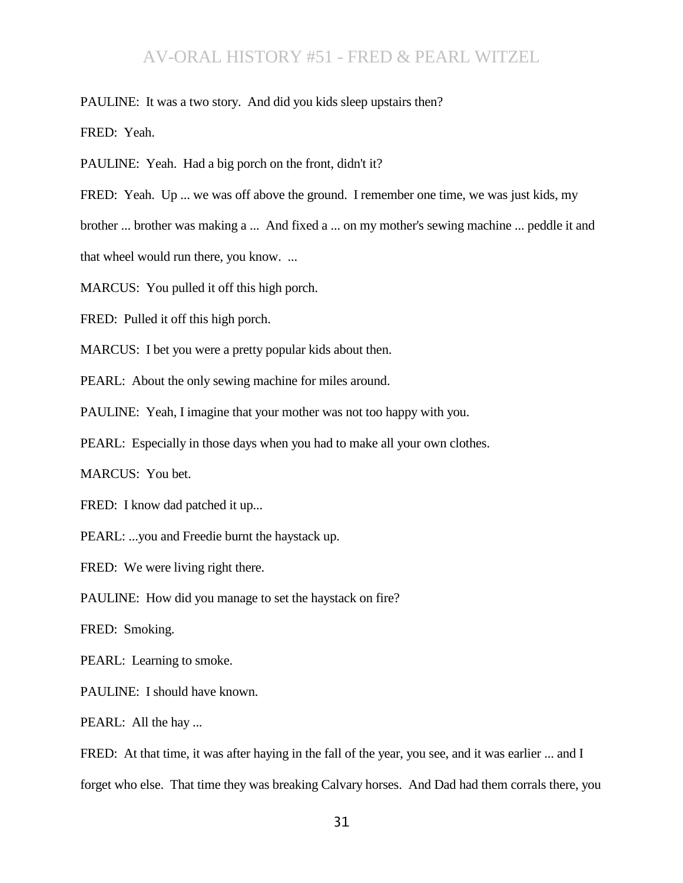#### PAULINE: It was a two story. And did you kids sleep upstairs then?

FRED: Yeah.

PAULINE: Yeah. Had a big porch on the front, didn't it?

FRED: Yeah. Up ... we was off above the ground. I remember one time, we was just kids, my

brother ... brother was making a ... And fixed a ... on my mother's sewing machine ... peddle it and

that wheel would run there, you know. ...

MARCUS: You pulled it off this high porch.

FRED: Pulled it off this high porch.

MARCUS: I bet you were a pretty popular kids about then.

PEARL: About the only sewing machine for miles around.

PAULINE: Yeah, I imagine that your mother was not too happy with you.

PEARL: Especially in those days when you had to make all your own clothes.

MARCUS: You bet.

FRED: I know dad patched it up...

PEARL: ...you and Freedie burnt the haystack up.

FRED: We were living right there.

PAULINE: How did you manage to set the haystack on fire?

FRED: Smoking.

PEARL: Learning to smoke.

PAULINE: I should have known.

PEARL: All the hay ...

FRED: At that time, it was after haying in the fall of the year, you see, and it was earlier ... and I forget who else. That time they was breaking Calvary horses. And Dad had them corrals there, you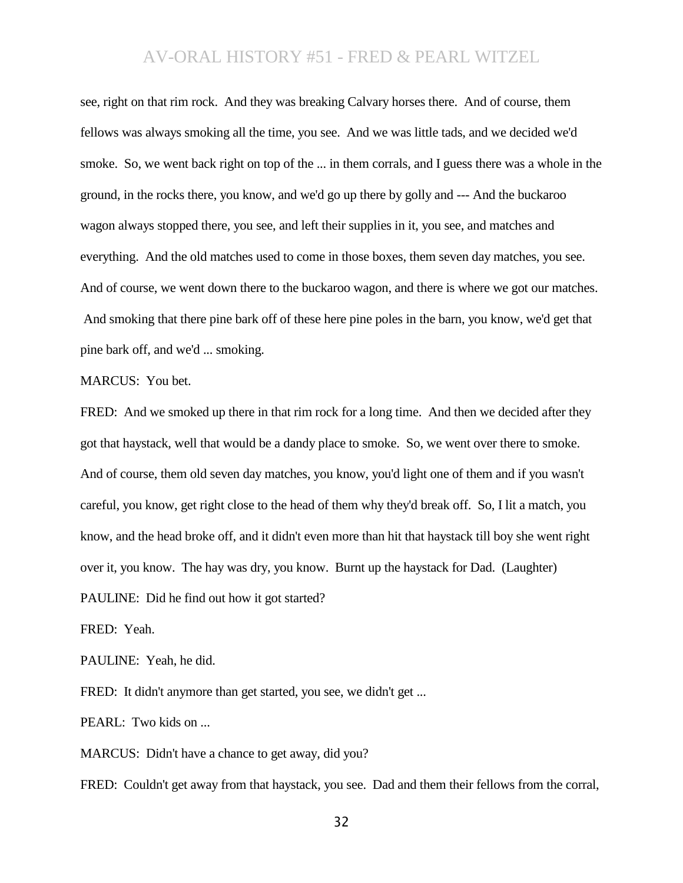see, right on that rim rock. And they was breaking Calvary horses there. And of course, them fellows was always smoking all the time, you see. And we was little tads, and we decided we'd smoke. So, we went back right on top of the ... in them corrals, and I guess there was a whole in the ground, in the rocks there, you know, and we'd go up there by golly and --- And the buckaroo wagon always stopped there, you see, and left their supplies in it, you see, and matches and everything. And the old matches used to come in those boxes, them seven day matches, you see. And of course, we went down there to the buckaroo wagon, and there is where we got our matches. And smoking that there pine bark off of these here pine poles in the barn, you know, we'd get that pine bark off, and we'd ... smoking.

MARCUS: You bet.

FRED: And we smoked up there in that rim rock for a long time. And then we decided after they got that haystack, well that would be a dandy place to smoke. So, we went over there to smoke. And of course, them old seven day matches, you know, you'd light one of them and if you wasn't careful, you know, get right close to the head of them why they'd break off. So, I lit a match, you know, and the head broke off, and it didn't even more than hit that haystack till boy she went right over it, you know. The hay was dry, you know. Burnt up the haystack for Dad. (Laughter) PAULINE: Did he find out how it got started?

FRED: Yeah.

PAULINE: Yeah, he did.

FRED: It didn't anymore than get started, you see, we didn't get ...

PEARL: Two kids on ...

MARCUS: Didn't have a chance to get away, did you?

FRED: Couldn't get away from that haystack, you see. Dad and them their fellows from the corral,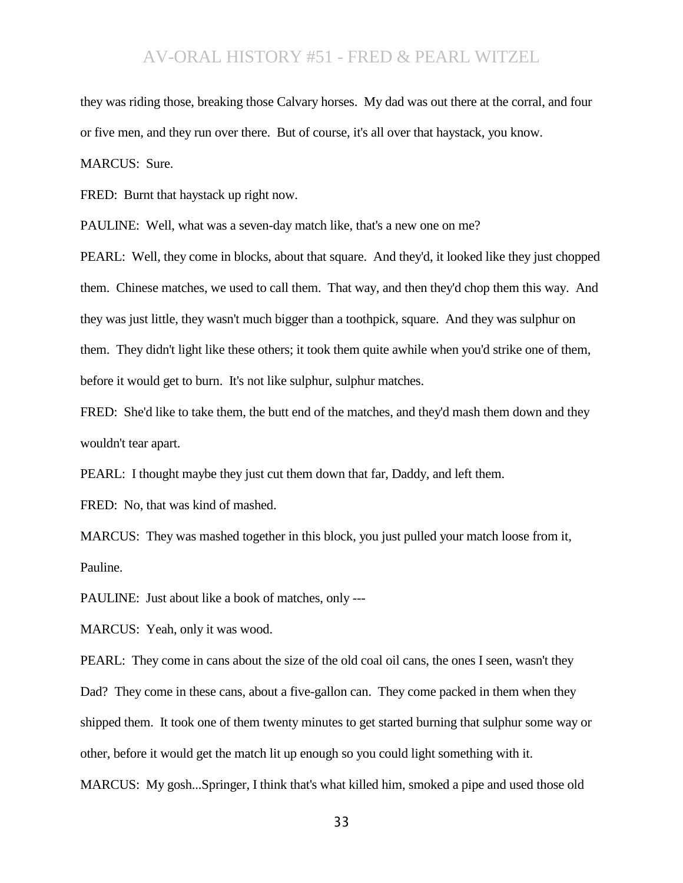they was riding those, breaking those Calvary horses. My dad was out there at the corral, and four or five men, and they run over there. But of course, it's all over that haystack, you know.

MARCUS: Sure.

FRED: Burnt that hay stack up right now.

PAULINE: Well, what was a seven-day match like, that's a new one on me?

PEARL: Well, they come in blocks, about that square. And they'd, it looked like they just chopped them. Chinese matches, we used to call them. That way, and then they'd chop them this way. And they was just little, they wasn't much bigger than a toothpick, square. And they was sulphur on them. They didn't light like these others; it took them quite awhile when you'd strike one of them, before it would get to burn. It's not like sulphur, sulphur matches.

FRED: She'd like to take them, the butt end of the matches, and they'd mash them down and they wouldn't tear apart.

PEARL: I thought maybe they just cut them down that far, Daddy, and left them.

FRED: No, that was kind of mashed.

MARCUS: They was mashed together in this block, you just pulled your match loose from it, Pauline.

PAULINE: Just about like a book of matches, only ---

MARCUS: Yeah, only it was wood.

PEARL: They come in cans about the size of the old coal oil cans, the ones I seen, wasn't they Dad? They come in these cans, about a five-gallon can. They come packed in them when they shipped them. It took one of them twenty minutes to get started burning that sulphur some way or other, before it would get the match lit up enough so you could light something with it. MARCUS: My gosh...Springer, I think that's what killed him, smoked a pipe and used those old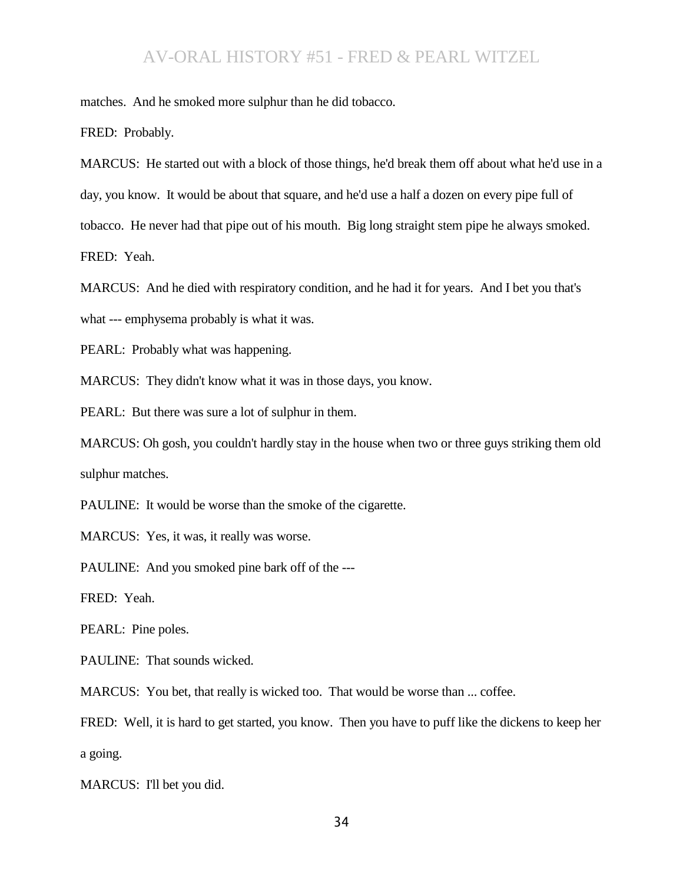matches. And he smoked more sulphur than he did tobacco.

FRED: Probably.

MARCUS: He started out with a block of those things, he'd break them off about what he'd use in a day, you know. It would be about that square, and he'd use a half a dozen on every pipe full of tobacco. He never had that pipe out of his mouth. Big long straight stem pipe he always smoked. FRED: Yeah.

MARCUS: And he died with respiratory condition, and he had it for years. And I bet you that's what --- emphysema probably is what it was.

PEARL: Probably what was happening.

MARCUS: They didn't know what it was in those days, you know.

PEARL: But there was sure a lot of sulphur in them.

MARCUS: Oh gosh, you couldn't hardly stay in the house when two or three guys striking them old sulphur matches.

PAULINE: It would be worse than the smoke of the cigarette.

MARCUS: Yes, it was, it really was worse.

PAULINE: And you smoked pine bark off of the ---

FRED: Yeah.

PEARL: Pine poles.

PAULINE: That sounds wicked.

MARCUS: You bet, that really is wicked too. That would be worse than ... coffee.

FRED: Well, it is hard to get started, you know. Then you have to puff like the dickens to keep her a going.

MARCUS: I'll bet you did.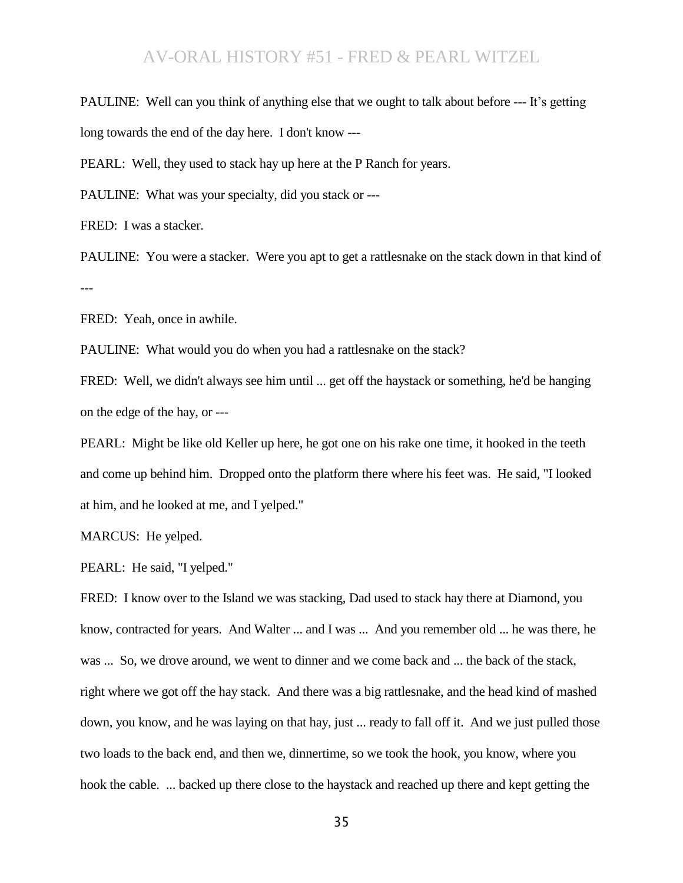PAULINE: Well can you think of anything else that we ought to talk about before --- It's getting long towards the end of the day here. I don't know ---

PEARL: Well, they used to stack hay up here at the P Ranch for years.

PAULINE: What was your specialty, did you stack or ---

FRED: I was a stacker.

PAULINE: You were a stacker. Were you apt to get a rattlesnake on the stack down in that kind of ---

FRED: Yeah, once in awhile.

PAULINE: What would you do when you had a rattlesnake on the stack?

FRED: Well, we didn't always see him until ... get off the haystack or something, he'd be hanging on the edge of the hay, or ---

PEARL: Might be like old Keller up here, he got one on his rake one time, it hooked in the teeth and come up behind him. Dropped onto the platform there where his feet was. He said, "I looked at him, and he looked at me, and I yelped."

MARCUS: He yelped.

PEARL: He said, "I yelped."

FRED: I know over to the Island we was stacking, Dad used to stack hay there at Diamond, you know, contracted for years. And Walter ... and I was ... And you remember old ... he was there, he was ... So, we drove around, we went to dinner and we come back and ... the back of the stack, right where we got off the hay stack. And there was a big rattlesnake, and the head kind of mashed down, you know, and he was laying on that hay, just ... ready to fall off it. And we just pulled those two loads to the back end, and then we, dinnertime, so we took the hook, you know, where you hook the cable. ... backed up there close to the haystack and reached up there and kept getting the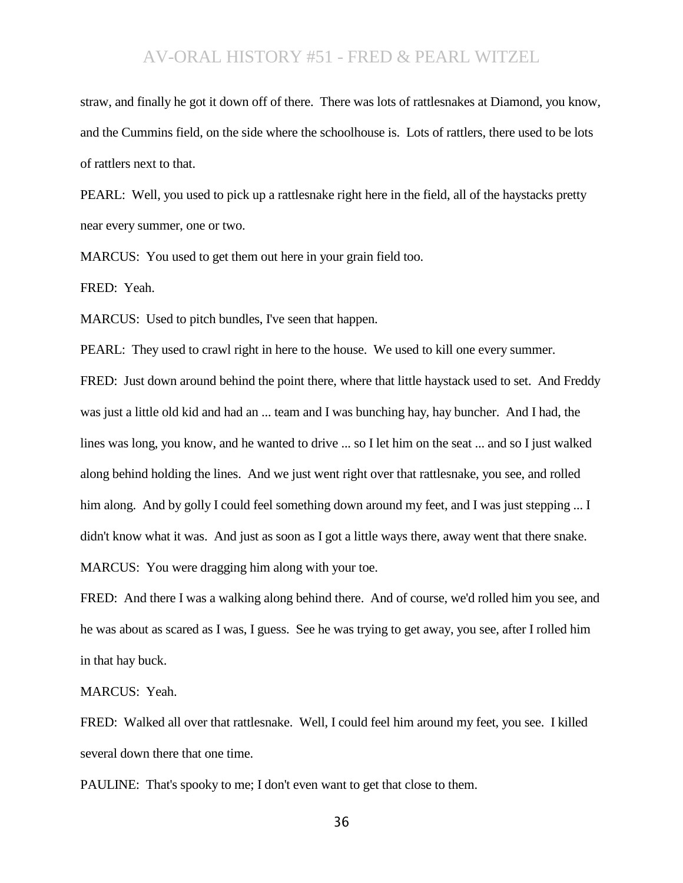straw, and finally he got it down off of there. There was lots of rattlesnakes at Diamond, you know, and the Cummins field, on the side where the schoolhouse is. Lots of rattlers, there used to be lots of rattlers next to that.

PEARL: Well, you used to pick up a rattlesnake right here in the field, all of the haystacks pretty near every summer, one or two.

MARCUS: You used to get them out here in your grain field too.

FRED: Yeah.

MARCUS: Used to pitch bundles, I've seen that happen.

PEARL: They used to crawl right in here to the house. We used to kill one every summer.

FRED: Just down around behind the point there, where that little haystack used to set. And Freddy was just a little old kid and had an ... team and I was bunching hay, hay buncher. And I had, the lines was long, you know, and he wanted to drive ... so I let him on the seat ... and so I just walked along behind holding the lines. And we just went right over that rattlesnake, you see, and rolled him along. And by golly I could feel something down around my feet, and I was just stepping ... I didn't know what it was. And just as soon as I got a little ways there, away went that there snake. MARCUS: You were dragging him along with your toe.

FRED: And there I was a walking along behind there. And of course, we'd rolled him you see, and he was about as scared as I was, I guess. See he was trying to get away, you see, after I rolled him in that hay buck.

MARCUS: Yeah.

FRED: Walked all over that rattlesnake. Well, I could feel him around my feet, you see. I killed several down there that one time.

PAULINE: That's spooky to me; I don't even want to get that close to them.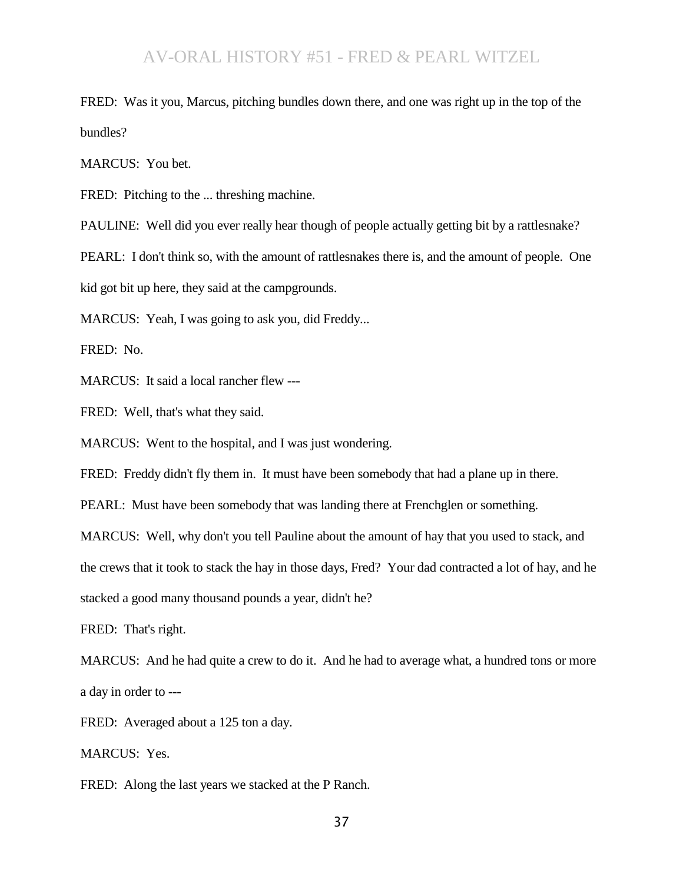FRED: Was it you, Marcus, pitching bundles down there, and one was right up in the top of the bundles?

MARCUS: You bet.

FRED: Pitching to the ... threshing machine.

PAULINE: Well did you ever really hear though of people actually getting bit by a rattlesnake?

PEARL: I don't think so, with the amount of rattlesnakes there is, and the amount of people. One

kid got bit up here, they said at the campgrounds.

MARCUS: Yeah, I was going to ask you, did Freddy...

FRED: No.

MARCUS: It said a local rancher flew ---

FRED: Well, that's what they said.

MARCUS: Went to the hospital, and I was just wondering.

FRED: Freddy didn't fly them in. It must have been somebody that had a plane up in there.

PEARL: Must have been somebody that was landing there at Frenchglen or something.

MARCUS: Well, why don't you tell Pauline about the amount of hay that you used to stack, and

the crews that it took to stack the hay in those days, Fred? Your dad contracted a lot of hay, and he

stacked a good many thousand pounds a year, didn't he?

FRED: That's right.

MARCUS: And he had quite a crew to do it. And he had to average what, a hundred tons or more a day in order to ---

FRED: Averaged about a 125 ton a day.

MARCUS: Yes.

FRED: Along the last years we stacked at the P Ranch.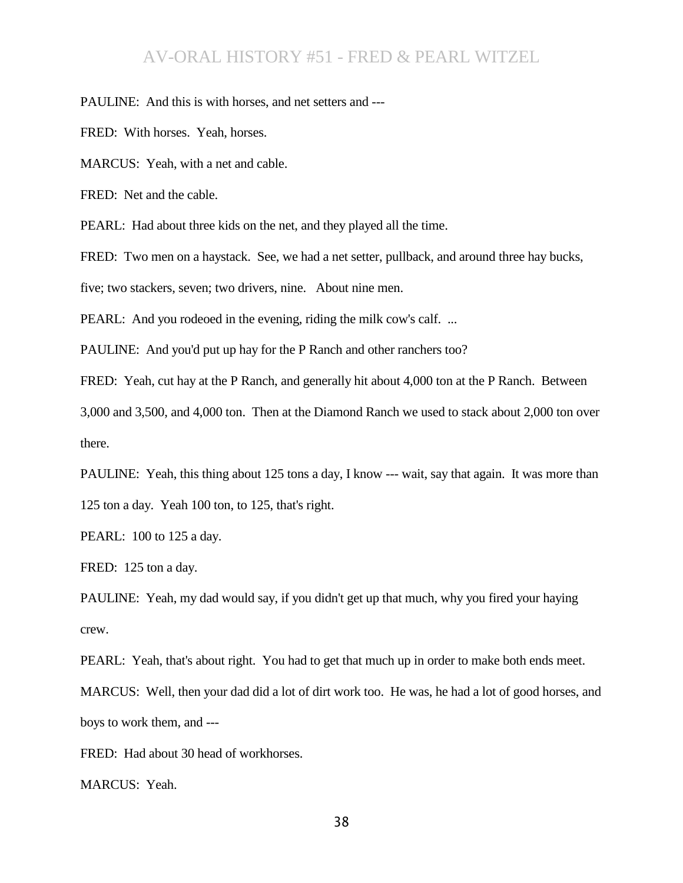PAULINE: And this is with horses, and net setters and ---

FRED: With horses. Yeah, horses.

MARCUS: Yeah, with a net and cable.

FRED: Net and the cable.

PEARL: Had about three kids on the net, and they played all the time.

FRED: Two men on a haystack. See, we had a net setter, pullback, and around three hay bucks,

five; two stackers, seven; two drivers, nine. About nine men.

PEARL: And you rodeoed in the evening, riding the milk cow's calf. ...

PAULINE: And you'd put up hay for the P Ranch and other ranchers too?

FRED: Yeah, cut hay at the P Ranch, and generally hit about 4,000 ton at the P Ranch. Between

3,000 and 3,500, and 4,000 ton. Then at the Diamond Ranch we used to stack about 2,000 ton over there.

PAULINE: Yeah, this thing about 125 tons a day, I know --- wait, say that again. It was more than 125 ton a day. Yeah 100 ton, to 125, that's right.

PEARL: 100 to 125 a day.

FRED: 125 ton a day.

PAULINE: Yeah, my dad would say, if you didn't get up that much, why you fired your haying crew.

PEARL: Yeah, that's about right. You had to get that much up in order to make both ends meet.

MARCUS: Well, then your dad did a lot of dirt work too. He was, he had a lot of good horses, and boys to work them, and ---

FRED: Had about 30 head of workhorses.

MARCUS: Yeah.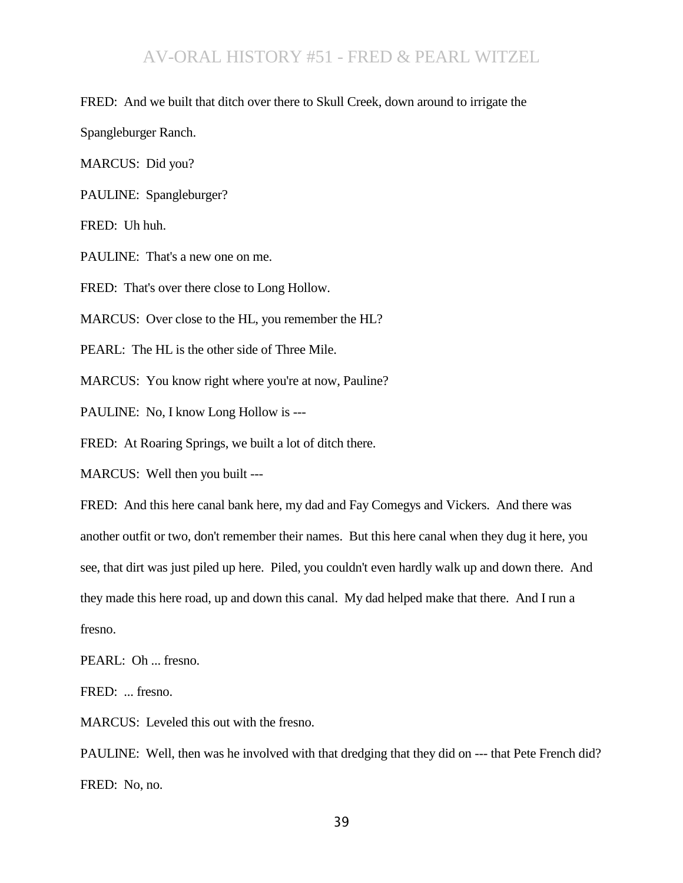#### FRED: And we built that ditch over there to Skull Creek, down around to irrigate the

Spangleburger Ranch.

MARCUS: Did you?

PAULINE: Spangleburger?

FRED: Uh huh.

PAULINE: That's a new one on me.

FRED: That's over there close to Long Hollow.

MARCUS: Over close to the HL, you remember the HL?

PEARL: The HL is the other side of Three Mile.

MARCUS: You know right where you're at now, Pauline?

PAULINE: No, I know Long Hollow is ---

FRED: At Roaring Springs, we built a lot of ditch there.

MARCUS: Well then you built ---

FRED: And this here canal bank here, my dad and Fay Comegys and Vickers. And there was another outfit or two, don't remember their names. But this here canal when they dug it here, you see, that dirt was just piled up here. Piled, you couldn't even hardly walk up and down there. And they made this here road, up and down this canal. My dad helped make that there. And I run a fresno.

PEARL: Oh ... fresno.

FRED: ... fresno.

MARCUS: Leveled this out with the fresno.

PAULINE: Well, then was he involved with that dredging that they did on --- that Pete French did? FRED: No, no.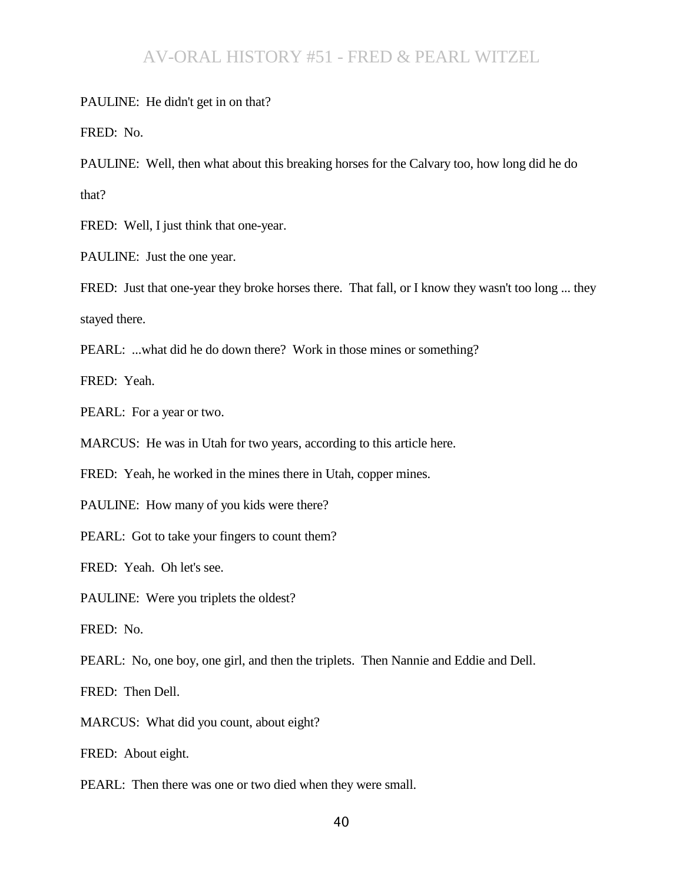PAULINE: He didn't get in on that?

FRED: No.

PAULINE: Well, then what about this breaking horses for the Calvary too, how long did he do that?

FRED: Well, I just think that one-year.

PAULINE: Just the one year.

FRED: Just that one-year they broke horses there. That fall, or I know they wasn't too long ... they stayed there.

PEARL: ...what did he do down there? Work in those mines or something?

FRED: Yeah.

PEARL: For a year or two.

MARCUS: He was in Utah for two years, according to this article here.

FRED: Yeah, he worked in the mines there in Utah, copper mines.

PAULINE: How many of you kids were there?

PEARL: Got to take your fingers to count them?

FRED: Yeah. Oh let's see.

PAULINE: Were you triplets the oldest?

FRED: No.

PEARL: No, one boy, one girl, and then the triplets. Then Nannie and Eddie and Dell.

FRED: Then Dell.

MARCUS: What did you count, about eight?

FRED: About eight.

PEARL: Then there was one or two died when they were small.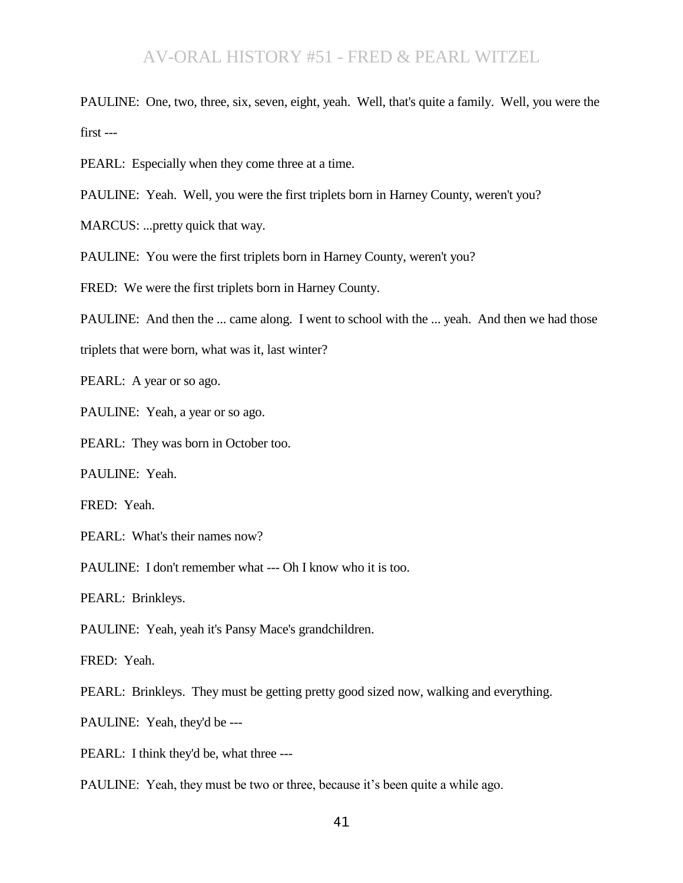PAULINE: One, two, three, six, seven, eight, yeah. Well, that's quite a family. Well, you were the first ---

PEARL: Especially when they come three at a time.

PAULINE: Yeah. Well, you were the first triplets born in Harney County, weren't you?

MARCUS: ...pretty quick that way.

PAULINE: You were the first triplets born in Harney County, weren't you?

FRED: We were the first triplets born in Harney County.

PAULINE: And then the ... came along. I went to school with the ... yeah. And then we had those

triplets that were born, what was it, last winter?

PEARL: A year or so ago.

PAULINE: Yeah, a year or so ago.

PEARL: They was born in October too.

PAULINE: Yeah.

FRED: Yeah.

PEARL: What's their names now?

PAULINE: I don't remember what --- Oh I know who it is too.

PEARL: Brinkleys.

PAULINE: Yeah, yeah it's Pansy Mace's grandchildren.

FRED: Yeah.

PEARL: Brinkleys. They must be getting pretty good sized now, walking and everything.

PAULINE: Yeah, they'd be ---

PEARL: I think they'd be, what three ---

PAULINE: Yeah, they must be two or three, because it's been quite a while ago.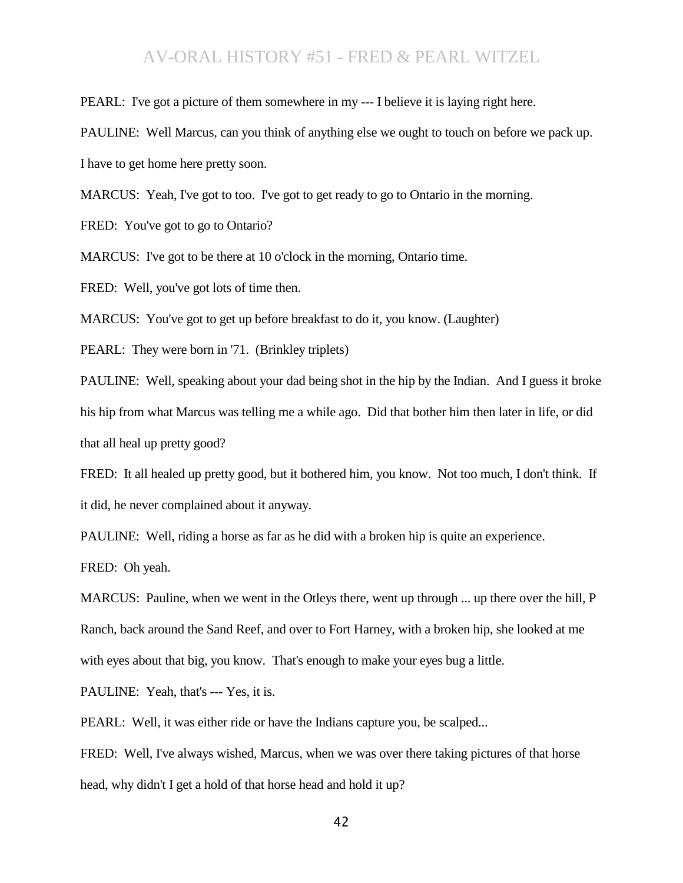PEARL: I've got a picture of them somewhere in my --- I believe it is laying right here.

PAULINE: Well Marcus, can you think of anything else we ought to touch on before we pack up.

I have to get home here pretty soon.

MARCUS: Yeah, I've got to too. I've got to get ready to go to Ontario in the morning.

FRED: You've got to go to Ontario?

MARCUS: I've got to be there at 10 o'clock in the morning, Ontario time.

FRED: Well, you've got lots of time then.

MARCUS: You've got to get up before breakfast to do it, you know. (Laughter)

PEARL: They were born in '71. (Brinkley triplets)

PAULINE: Well, speaking about your dad being shot in the hip by the Indian. And I guess it broke his hip from what Marcus was telling me a while ago. Did that bother him then later in life, or did that all heal up pretty good?

FRED: It all healed up pretty good, but it bothered him, you know. Not too much, I don't think. If it did, he never complained about it anyway.

PAULINE: Well, riding a horse as far as he did with a broken hip is quite an experience.

FRED: Oh yeah.

MARCUS: Pauline, when we went in the Otleys there, went up through ... up there over the hill, P Ranch, back around the Sand Reef, and over to Fort Harney, with a broken hip, she looked at me with eyes about that big, you know. That's enough to make your eyes bug a little.

PAULINE: Yeah, that's --- Yes, it is.

PEARL: Well, it was either ride or have the Indians capture you, be scalped...

FRED: Well, I've always wished, Marcus, when we was over there taking pictures of that horse head, why didn't I get a hold of that horse head and hold it up?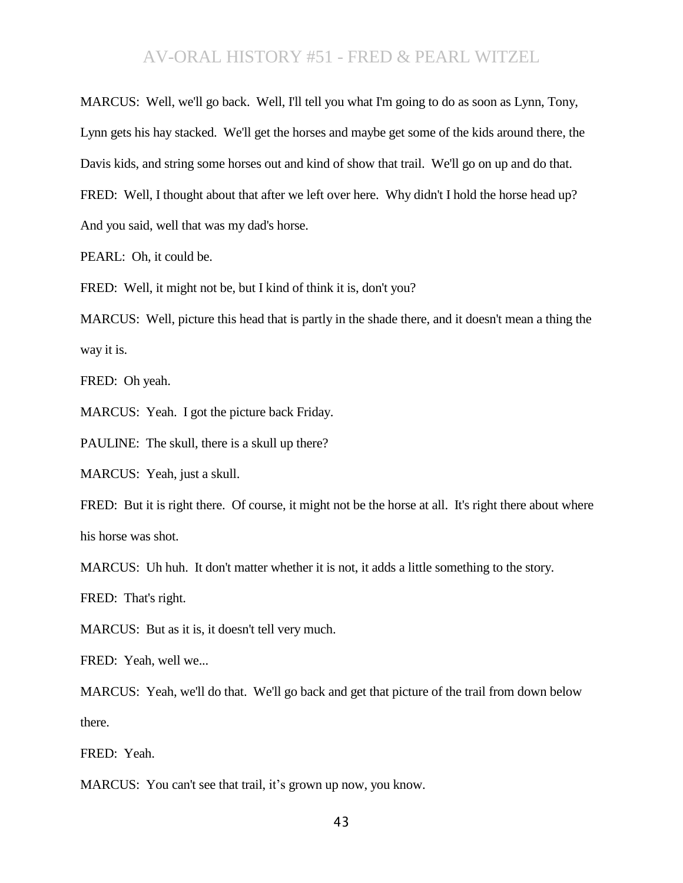MARCUS: Well, we'll go back. Well, I'll tell you what I'm going to do as soon as Lynn, Tony, Lynn gets his hay stacked. We'll get the horses and maybe get some of the kids around there, the Davis kids, and string some horses out and kind of show that trail. We'll go on up and do that. FRED: Well, I thought about that after we left over here. Why didn't I hold the horse head up? And you said, well that was my dad's horse.

PEARL: Oh, it could be.

FRED: Well, it might not be, but I kind of think it is, don't you?

MARCUS: Well, picture this head that is partly in the shade there, and it doesn't mean a thing the way it is.

FRED: Oh yeah.

MARCUS: Yeah. I got the picture back Friday.

PAULINE: The skull, there is a skull up there?

MARCUS: Yeah, just a skull.

FRED: But it is right there. Of course, it might not be the horse at all. It's right there about where his horse was shot.

MARCUS: Uh huh. It don't matter whether it is not, it adds a little something to the story.

FRED: That's right.

MARCUS: But as it is, it doesn't tell very much.

FRED: Yeah, well we...

MARCUS: Yeah, we'll do that. We'll go back and get that picture of the trail from down below there.

FRED: Yeah.

MARCUS: You can't see that trail, it's grown up now, you know.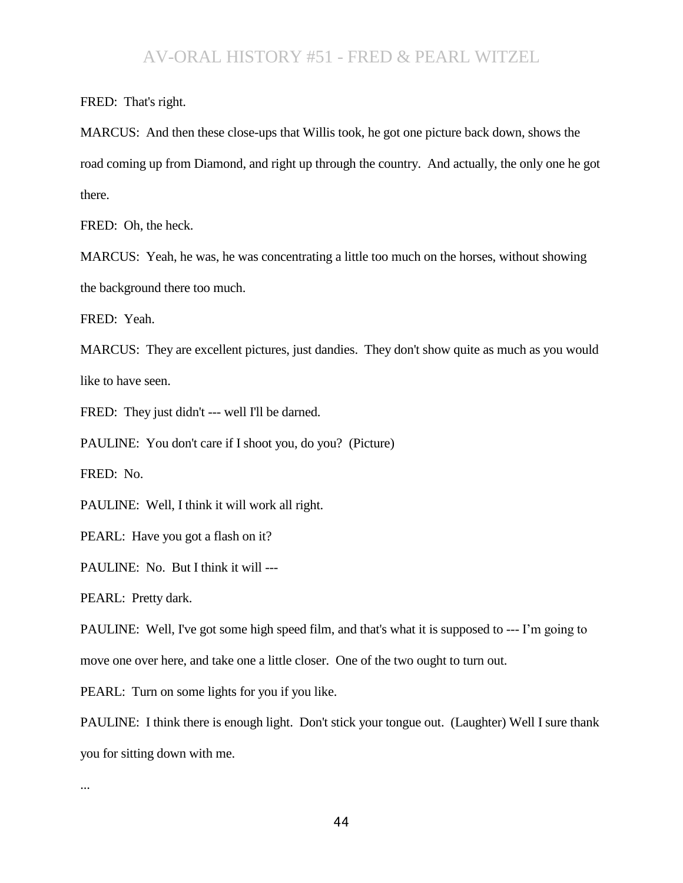FRED: That's right.

MARCUS: And then these close-ups that Willis took, he got one picture back down, shows the road coming up from Diamond, and right up through the country. And actually, the only one he got there.

FRED: Oh, the heck.

MARCUS: Yeah, he was, he was concentrating a little too much on the horses, without showing the background there too much.

FRED: Yeah.

MARCUS: They are excellent pictures, just dandies. They don't show quite as much as you would like to have seen.

FRED: They just didn't --- well I'll be darned.

PAULINE: You don't care if I shoot you, do you? (Picture)

FRED: No.

PAULINE: Well, I think it will work all right.

PEARL: Have you got a flash on it?

PAULINE: No. But I think it will ---

PEARL: Pretty dark.

PAULINE: Well, I've got some high speed film, and that's what it is supposed to --- I'm going to move one over here, and take one a little closer. One of the two ought to turn out.

PEARL: Turn on some lights for you if you like.

PAULINE: I think there is enough light. Don't stick your tongue out. (Laughter) Well I sure thank you for sitting down with me.

...